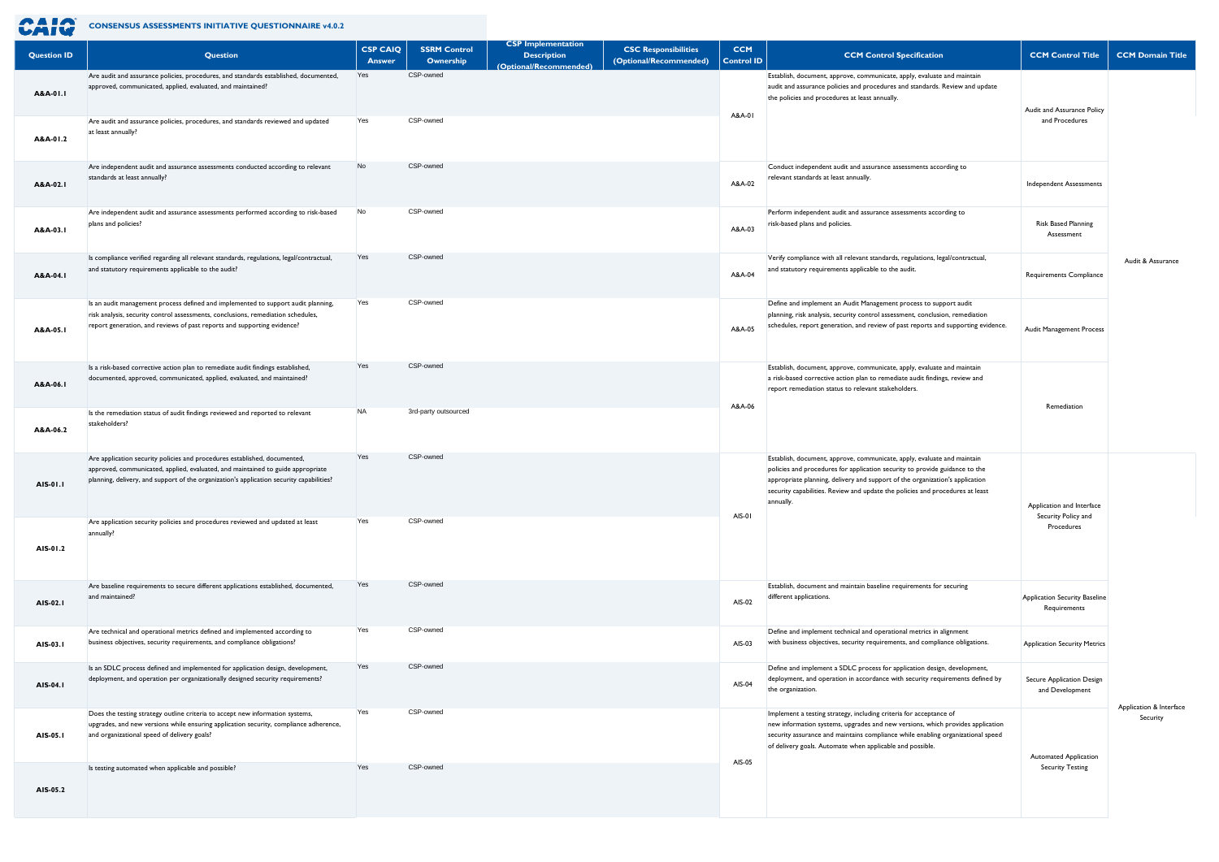

**CONSENSUS ASSESSMENTS INITIATIVE QUESTIONNAIRE v4.0.2** 

| <b>Question ID</b>   | Question                                                                                                                                                                                                                                                      | <b>CSP CAIQ</b><br>Answer | <b>SSRM Control</b><br>Ownership | <b>CSP</b> Implementation<br><b>Description</b><br><b>Optional/Recommende</b> | <b>CSC Responsibilities</b><br>(Optional/Recommended) | <b>CCM</b><br><b>Control ID</b> | <b>CCM Control Specification</b>                                                                                                                                                                                                                                                                                                     | <b>CCM Control Title</b>                             | <b>CCM Domain Title</b> |
|----------------------|---------------------------------------------------------------------------------------------------------------------------------------------------------------------------------------------------------------------------------------------------------------|---------------------------|----------------------------------|-------------------------------------------------------------------------------|-------------------------------------------------------|---------------------------------|--------------------------------------------------------------------------------------------------------------------------------------------------------------------------------------------------------------------------------------------------------------------------------------------------------------------------------------|------------------------------------------------------|-------------------------|
| A&A-01.1<br>A&A-01.2 | Are audit and assurance policies, procedures, and standards established, documented,<br>approved, communicated, applied, evaluated, and maintained?<br>Are audit and assurance policies, procedures, and standards reviewed and updated<br>at least annually? | Yes<br>Yes                | CSP-owned<br>CSP-owned           |                                                                               |                                                       | A&A-01                          | Establish, document, approve, communicate, apply, evaluate and maintain<br>audit and assurance policies and procedures and standards. Review and update<br>the policies and procedures at least annually.                                                                                                                            | Audit and Assurance Policy<br>and Procedures         |                         |
| A&A-02.1             | Are independent audit and assurance assessments conducted according to relevant<br>standards at least annually?                                                                                                                                               | No                        | CSP-owned                        |                                                                               |                                                       | A&A-02                          | Conduct independent audit and assurance assessments according to<br>relevant standards at least annually.                                                                                                                                                                                                                            | <b>Independent Assessments</b>                       |                         |
| A&A-03.1             | Are independent audit and assurance assessments performed according to risk-based<br>plans and policies?                                                                                                                                                      | No                        | CSP-owned                        |                                                                               |                                                       | A&A-03                          | Perform independent audit and assurance assessments according to<br>risk-based plans and policies.                                                                                                                                                                                                                                   | Risk Based Planning<br>Assessment                    |                         |
| A&A-04.1             | Is compliance verified regarding all relevant standards, regulations, legal/contractual,<br>and statutory requirements applicable to the audit?                                                                                                               | Yes                       | CSP-owned                        |                                                                               |                                                       | A&A-04                          | Verify compliance with all relevant standards, regulations, legal/contractual,<br>and statutory requirements applicable to the audit.                                                                                                                                                                                                | Requirements Compliance                              | Audit & Assurance       |
| A&A-05.1             | Is an audit management process defined and implemented to support audit planning,<br>risk analysis, security control assessments, conclusions, remediation schedules,<br>report generation, and reviews of past reports and supporting evidence?              | Yes                       | CSP-owned                        |                                                                               |                                                       | A&A-05                          | Define and implement an Audit Management process to support audit<br>planning, risk analysis, security control assessment, conclusion, remediation<br>schedules, report generation, and review of past reports and supporting evidence.                                                                                              | Audit Management Process                             |                         |
| A&A-06.1             | Is a risk-based corrective action plan to remediate audit findings established,<br>documented, approved, communicated, applied, evaluated, and maintained?                                                                                                    | Yes                       | CSP-owned                        |                                                                               |                                                       | A&A-06                          | Establish, document, approve, communicate, apply, evaluate and maintain<br>a risk-based corrective action plan to remediate audit findings, review and<br>report remediation status to relevant stakeholders.                                                                                                                        | Remediation                                          |                         |
| A&A-06.2             | Is the remediation status of audit findings reviewed and reported to relevant<br>stakeholders?                                                                                                                                                                | <b>NA</b>                 | 3rd-party outsourced             |                                                                               |                                                       |                                 |                                                                                                                                                                                                                                                                                                                                      |                                                      |                         |
| AIS-01.1             | Are application security policies and procedures established, documented,<br>approved, communicated, applied, evaluated, and maintained to guide appropriate<br>planning, delivery, and support of the organization's application security capabilities?      | Yes                       | CSP-owned                        |                                                                               |                                                       | AIS-01                          | Establish, document, approve, communicate, apply, evaluate and maintain<br>policies and procedures for application security to provide guidance to the<br>appropriate planning, delivery and support of the organization's application<br>security capabilities. Review and update the policies and procedures at least<br>annually. | Application and Interface                            |                         |
| AIS-01.2             | Are application security policies and procedures reviewed and updated at least<br>annually?                                                                                                                                                                   | Yes                       | CSP-owned                        |                                                                               |                                                       |                                 |                                                                                                                                                                                                                                                                                                                                      | Security Policy and<br>Procedures                    |                         |
| AIS-02.1             | Are baseline requirements to secure different applications established, documented,<br>and maintained?                                                                                                                                                        | Yes                       | CSP-owned                        |                                                                               |                                                       | AIS-02                          | Establish, document and maintain baseline requirements for securing<br>different applications.                                                                                                                                                                                                                                       | <b>Application Security Baseline</b><br>Requirements |                         |
| AIS-03.1             | Are technical and operational metrics defined and implemented according to<br>business objectives, security requirements, and compliance obligations?                                                                                                         | Yes                       | CSP-owned                        |                                                                               |                                                       | AIS-03                          | Define and implement technical and operational metrics in alignment<br>with business objectives, security requirements, and compliance obligations.                                                                                                                                                                                  | <b>Application Security Metrics</b>                  |                         |
| AIS-04.1             | Is an SDLC process defined and implemented for application design, development,<br>deployment, and operation per organizationally designed security requirements?                                                                                             | Yes                       | CSP-owned                        |                                                                               |                                                       | AIS-04                          | Define and implement a SDLC process for application design, development,<br>deployment, and operation in accordance with security requirements defined by<br>the organization.                                                                                                                                                       | Secure Application Design<br>and Development         | Application & Interface |
| AIS-05.1             | Does the testing strategy outline criteria to accept new information systems,<br>upgrades, and new versions while ensuring application security, compliance adherence,<br>and organizational speed of delivery goals?                                         | Yes                       | CSP-owned                        |                                                                               |                                                       | AIS-05                          | Implement a testing strategy, including criteria for acceptance of<br>new information systems, upgrades and new versions, which provides application<br>security assurance and maintains compliance while enabling organizational speed<br>of delivery goals. Automate when applicable and possible.                                 | <b>Automated Application</b>                         | Security                |
| AIS-05.2             | Is testing automated when applicable and possible?                                                                                                                                                                                                            | Yes                       | CSP-owned                        |                                                                               |                                                       |                                 |                                                                                                                                                                                                                                                                                                                                      | <b>Security Testing</b>                              |                         |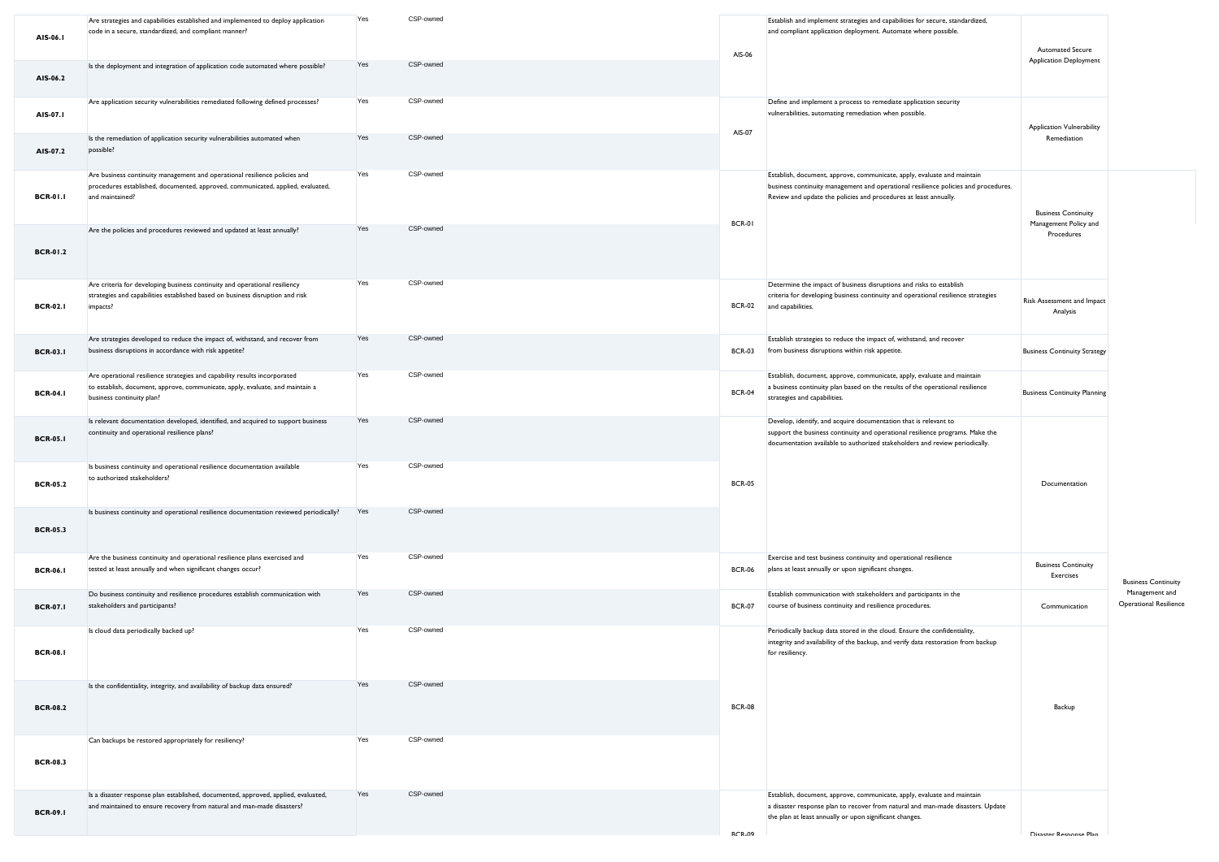| AIS-06.1        | Are strategies and capabilities established and implemented to deploy application<br>code in a secure, standardized, and compliant manner?                                              | Yes | CSP-owned | AIS-06        | Establish and implement strategies and capabilities for secure, standardized,<br>and compliant application deployment. Automate where possible.                                                                                   | <b>Automated Secure</b>                             |                                                 |
|-----------------|-----------------------------------------------------------------------------------------------------------------------------------------------------------------------------------------|-----|-----------|---------------|-----------------------------------------------------------------------------------------------------------------------------------------------------------------------------------------------------------------------------------|-----------------------------------------------------|-------------------------------------------------|
| AIS-06.2        | Is the deployment and integration of application code automated where possible?                                                                                                         | Yes | CSP-owned |               |                                                                                                                                                                                                                                   | <b>Application Deployment</b>                       |                                                 |
| AIS-07.1        | Are application security vulnerabilities remediated following defined processes?                                                                                                        | Yes | CSP-owned | AIS-07        | Define and implement a process to remediate application security<br>vulnerabilities, automating remediation when possible.                                                                                                        | <b>Application Vulnerability</b>                    |                                                 |
| AIS-07.2        | Is the remediation of application security vulnerabilities automated when<br>possible?                                                                                                  | Yes | CSP-owned |               |                                                                                                                                                                                                                                   | Remediation                                         |                                                 |
| <b>BCR-01.1</b> | Are business continuity management and operational resilience policies and<br>procedures established, documented, approved, communicated, applied, evaluated,<br>and maintained?        | Yes | CSP-owned |               | Establish, document, approve, communicate, apply, evaluate and maintain<br>business continuity management and operational resilience policies and procedures.<br>Review and update the policies and procedures at least annually. | <b>Business Continuity</b><br>Management Policy and |                                                 |
| <b>BCR-01.2</b> | Are the policies and procedures reviewed and updated at least annually?                                                                                                                 | Yes | CSP-owned | <b>BCR-01</b> |                                                                                                                                                                                                                                   | Procedures                                          |                                                 |
| <b>BCR-02.1</b> | Are criteria for developing business continuity and operational resiliency<br>strategies and capabilities established based on business disruption and risk<br>impacts?                 | Yes | CSP-owned |               | Determine the impact of business disruptions and risks to establish<br>criteria for developing business continuity and operational resilience strategies<br>BCR-02 and capabilities.                                              | Risk Assessment and Impact<br>Analysis              |                                                 |
| <b>BCR-03.1</b> | Are strategies developed to reduce the impact of, withstand, and recover from<br>business disruptions in accordance with risk appetite?                                                 | Yes | CSP-owned | <b>BCR-03</b> | Establish strategies to reduce the impact of, withstand, and recover<br>from business disruptions within risk appetite.                                                                                                           | <b>Business Continuity Strategy</b>                 |                                                 |
| <b>BCR-04.1</b> | Are operational resilience strategies and capability results incorporated<br>to establish, document, approve, communicate, apply, evaluate, and maintain a<br>business continuity plan? | Yes | CSP-owned | <b>BCR-04</b> | Establish, document, approve, communicate, apply, evaluate and maintain<br>a business continuity plan based on the results of the operational resilience<br>strategies and capabilities.                                          | <b>Business Continuity Planning</b>                 |                                                 |
| <b>BCR-05.1</b> | Is relevant documentation developed, identified, and acquired to support business<br>continuity and operational resilience plans?                                                       | Yes | CSP-owned |               | Develop, identify, and acquire documentation that is relevant to<br>support the business continuity and operational resilience programs. Make the<br>documentation available to authorized stakeholders and review periodically.  |                                                     |                                                 |
| <b>BCR-05.2</b> | Is business continuity and operational resilience documentation available<br>to authorized stakeholders?                                                                                | Yes | CSP-owned | <b>BCR-05</b> |                                                                                                                                                                                                                                   | Documentation                                       |                                                 |
| <b>BCR-05.3</b> | Is business continuity and operational resilience documentation reviewed periodically?                                                                                                  | Yes | CSP-owned |               |                                                                                                                                                                                                                                   |                                                     |                                                 |
| <b>BCR-06.1</b> | Are the business continuity and operational resilience plans exercised and<br>tested at least annually and when significant changes occur?                                              | Yes | CSP-owned | <b>BCR-06</b> | Exercise and test business continuity and operational resilience<br>plans at least annually or upon significant changes.                                                                                                          | <b>Business Continuity</b><br>Exercises             | <b>Business Continuity</b>                      |
| <b>BCR-07.1</b> | Do business continuity and resilience procedures establish communication with<br>stakeholders and participants?                                                                         | Yes | CSP-owned | <b>BCR-07</b> | Establish communication with stakeholders and participants in the<br>course of business continuity and resilience procedures.                                                                                                     | Communication                                       | Management and<br><b>Operational Resilience</b> |
| <b>BCR-08.1</b> | Is cloud data periodically backed up?                                                                                                                                                   | Yes | CSP-owned |               | Periodically backup data stored in the cloud. Ensure the confidentiality,<br>integrity and availability of the backup, and verify data restoration from backup<br>for resiliency.                                                 |                                                     |                                                 |
| <b>BCR-08.2</b> | Is the confidentiality, integrity, and availability of backup data ensured?                                                                                                             | Yes | CSP-owned | <b>BCR-08</b> |                                                                                                                                                                                                                                   | Backup                                              |                                                 |
| <b>BCR-08.3</b> | Can backups be restored appropriately for resiliency?                                                                                                                                   | Yes | CSP-owned |               |                                                                                                                                                                                                                                   |                                                     |                                                 |
| <b>BCR-09.1</b> | Is a disaster response plan established, documented, approved, applied, evaluated,<br>and maintained to ensure recovery from natural and man-made disasters?                            | Yes | CSP-owned | <b>RCR.09</b> | Establish, document, approve, communicate, apply, evaluate and maintain<br>a disaster response plan to recover from natural and man-made disasters. Update<br>the plan at least annually or upon significant changes.             | Disaster Resnanse Plan                              |                                                 |
|                 |                                                                                                                                                                                         |     |           |               |                                                                                                                                                                                                                                   |                                                     |                                                 |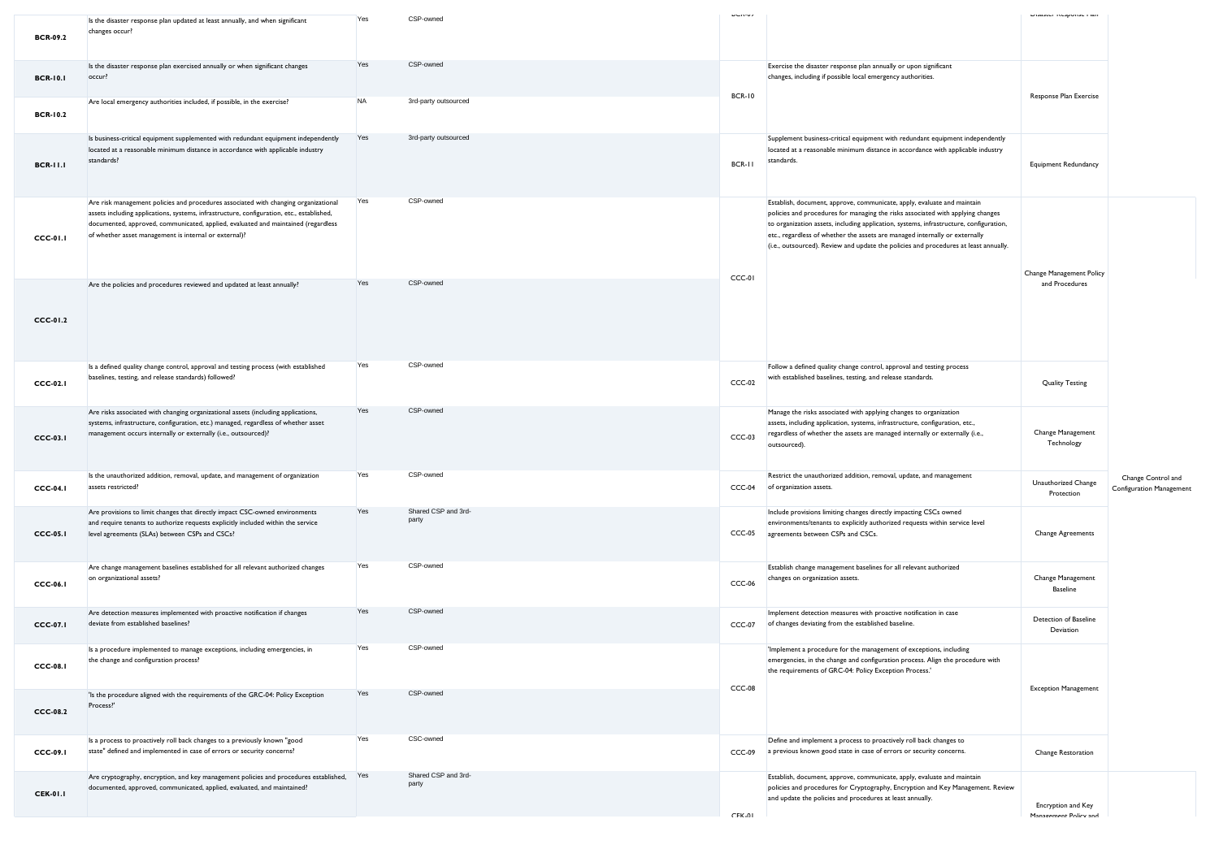| <b>BCR-09.2</b> | Is the disaster response plan updated at least annually, and when significant<br>changes occur?                                                                                                                                                                                                                                | Yes       | CSP-owned                    | <b>UNIVA</b>  |                                                                                                                                                                                                                                                                                                                                                                                                                             | prisaster inesponse i lan                   |                                                       |
|-----------------|--------------------------------------------------------------------------------------------------------------------------------------------------------------------------------------------------------------------------------------------------------------------------------------------------------------------------------|-----------|------------------------------|---------------|-----------------------------------------------------------------------------------------------------------------------------------------------------------------------------------------------------------------------------------------------------------------------------------------------------------------------------------------------------------------------------------------------------------------------------|---------------------------------------------|-------------------------------------------------------|
| <b>BCR-10.1</b> | Is the disaster response plan exercised annually or when significant changes<br>occur?                                                                                                                                                                                                                                         | Yes       | CSP-owned                    |               | Exercise the disaster response plan annually or upon significant<br>changes, including if possible local emergency authorities.                                                                                                                                                                                                                                                                                             |                                             |                                                       |
| <b>BCR-10.2</b> | Are local emergency authorities included, if possible, in the exercise?                                                                                                                                                                                                                                                        | <b>NA</b> | 3rd-party outsourced         | <b>BCR-10</b> |                                                                                                                                                                                                                                                                                                                                                                                                                             | Response Plan Exercise                      |                                                       |
| <b>BCR-11.1</b> | Is business-critical equipment supplemented with redundant equipment independently<br>located at a reasonable minimum distance in accordance with applicable industry<br>standards?                                                                                                                                            | Yes       | 3rd-party outsourced         | BCR-II        | Supplement business-critical equipment with redundant equipment independently<br>located at a reasonable minimum distance in accordance with applicable industry<br>standards.                                                                                                                                                                                                                                              | <b>Equipment Redundancy</b>                 |                                                       |
| <b>CCC-01.1</b> | Are risk management policies and procedures associated with changing organizational<br>assets including applications, systems, infrastructure, configuration, etc., established,<br>documented, approved, communicated, applied, evaluated and maintained (regardless<br>of whether asset management is internal or external)? | Yes       | CSP-owned                    | CCC-01        | Establish, document, approve, communicate, apply, evaluate and maintain<br>policies and procedures for managing the risks associated with applying changes<br>to organization assets, including application, systems, infrastructure, configuration,<br>etc., regardless of whether the assets are managed internally or externally<br>(i.e., outsourced). Review and update the policies and procedures at least annually. | Change Management Policy                    |                                                       |
| CCC-01.2        | Are the policies and procedures reviewed and updated at least annually?                                                                                                                                                                                                                                                        | Yes       | CSP-owned                    |               |                                                                                                                                                                                                                                                                                                                                                                                                                             | and Procedures                              |                                                       |
| <b>CCC-02.1</b> | Is a defined quality change control, approval and testing process (with established<br>baselines, testing, and release standards) followed?                                                                                                                                                                                    | Yes       | CSP-owned                    | CCC-02        | Follow a defined quality change control, approval and testing process<br>with established baselines, testing, and release standards.                                                                                                                                                                                                                                                                                        | <b>Quality Testing</b>                      |                                                       |
| <b>CCC-03.1</b> | Are risks associated with changing organizational assets (including applications,<br>systems, infrastructure, configuration, etc.) managed, regardless of whether asset<br>management occurs internally or externally (i.e., outsourced)?                                                                                      | Yes       | CSP-owned                    | $CCC-03$      | Manage the risks associated with applying changes to organization<br>assets, including application, systems, infrastructure, configuration, etc.,<br>regardless of whether the assets are managed internally or externally (i.e.,<br>outsourced).                                                                                                                                                                           | Change Management<br>Technology             |                                                       |
| <b>CCC-04.1</b> | Is the unauthorized addition, removal, update, and management of organization<br>assets restricted?                                                                                                                                                                                                                            | Yes       | CSP-owned                    | $CCC-04$      | Restrict the unauthorized addition, removal, update, and management<br>of organization assets.                                                                                                                                                                                                                                                                                                                              | Unauthorized Change<br>Protection           | Change Control and<br><b>Configuration Management</b> |
| $CCC-05.1$      | Are provisions to limit changes that directly impact CSC-owned environments<br>and require tenants to authorize requests explicitly included within the service<br>level agreements (SLAs) between CSPs and CSCs?                                                                                                              | Yes       | Shared CSP and 3rd-<br>party | $CCC-05$      | Include provisions limiting changes directly impacting CSCs owned<br>environments/tenants to explicitly authorized requests within service level<br>agreements between CSPs and CSCs.                                                                                                                                                                                                                                       | <b>Change Agreements</b>                    |                                                       |
| <b>CCC-06.1</b> | Are change management baselines established for all relevant authorized changes<br>on organizational assets?                                                                                                                                                                                                                   | Yes       | CSP-owned                    | $CCC-06$      | Establish change management baselines for all relevant authorized<br>changes on organization assets.                                                                                                                                                                                                                                                                                                                        | Change Management<br><b>Baseline</b>        |                                                       |
| <b>CCC-07.1</b> | Are detection measures implemented with proactive notification if changes<br>deviate from established baselines?                                                                                                                                                                                                               | Yes       | CSP-owned                    | $CCC-07$      | Implement detection measures with proactive notification in case<br>of changes deviating from the established baseline.                                                                                                                                                                                                                                                                                                     | Detection of Baseline<br>Deviation          |                                                       |
| $CCC-08.1$      | Is a procedure implemented to manage exceptions, including emergencies, in<br>the change and configuration process?                                                                                                                                                                                                            | Yes       | CSP-owned                    | CCC-08        | 'Implement a procedure for the management of exceptions, including<br>emergencies, in the change and configuration process. Align the procedure with<br>the requirements of GRC-04: Policy Exception Process.'                                                                                                                                                                                                              | <b>Exception Management</b>                 |                                                       |
| CCC-08.2        | 'Is the procedure aligned with the requirements of the GRC-04: Policy Exception<br>Process?'                                                                                                                                                                                                                                   | Yes       | CSP-owned                    |               |                                                                                                                                                                                                                                                                                                                                                                                                                             |                                             |                                                       |
| <b>CCC-09.1</b> | Is a process to proactively roll back changes to a previously known "good<br>state" defined and implemented in case of errors or security concerns?                                                                                                                                                                            | Yes       | CSC-owned                    | CCC-09        | Define and implement a process to proactively roll back changes to<br>a previous known good state in case of errors or security concerns.                                                                                                                                                                                                                                                                                   | Change Restoration                          |                                                       |
| <b>CEK-01.1</b> | Are cryptography, encryption, and key management policies and procedures established, Yes<br>documented, approved, communicated, applied, evaluated, and maintained?                                                                                                                                                           |           | Shared CSP and 3rd-<br>party | CEK UI        | Establish, document, approve, communicate, apply, evaluate and maintain<br>policies and procedures for Cryptography, Encryption and Key Management. Review<br>and update the policies and procedures at least annually.                                                                                                                                                                                                     | Encryption and Key<br>Management Policy and |                                                       |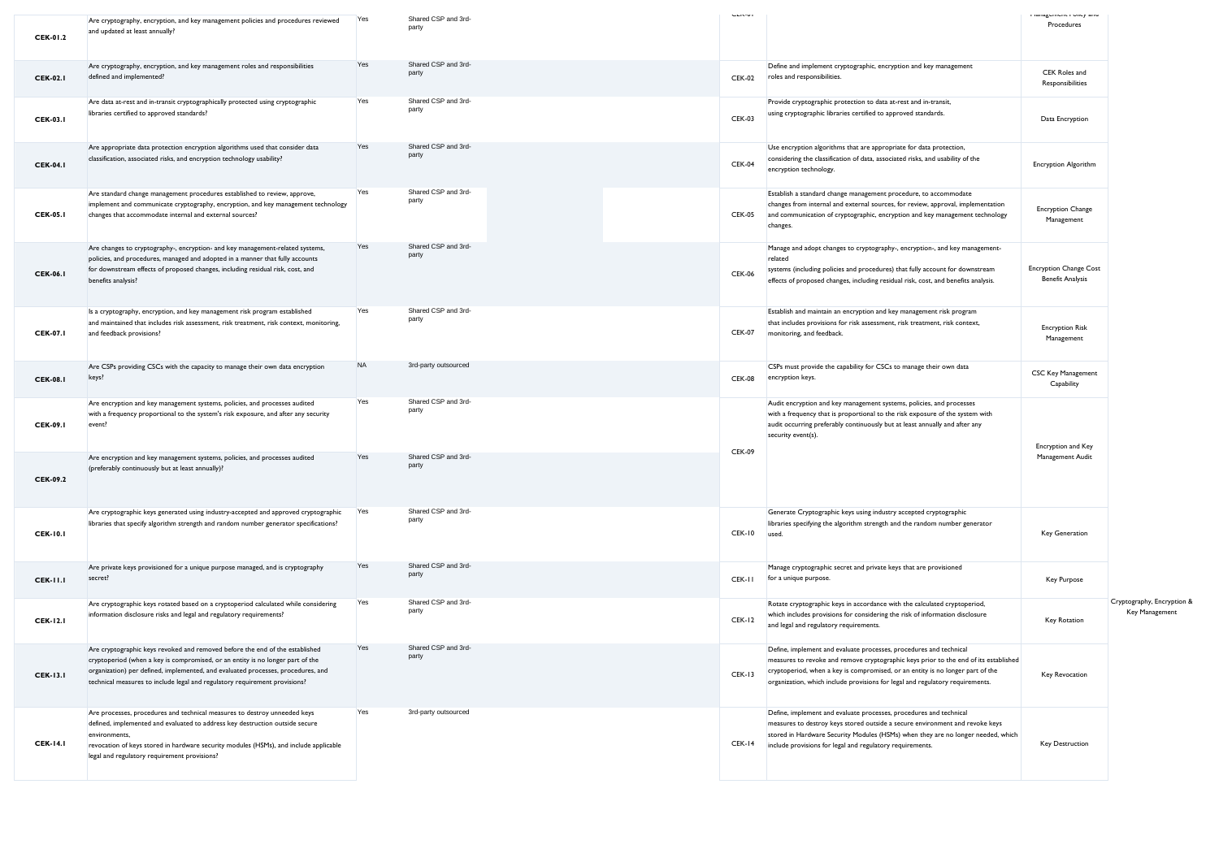| <b>CEK-01.2</b> | Are cryptography, encryption, and key management policies and procedures reviewed<br>and updated at least annually?                                                                                                                                                                                                              | Yes       | Shared CSP and 3rd-<br>party | <b>SERVICE</b> |                                                                                                                                                                                                                                                                                                                               | i ianagumum i vincy anu<br>Procedures                    |                                              |
|-----------------|----------------------------------------------------------------------------------------------------------------------------------------------------------------------------------------------------------------------------------------------------------------------------------------------------------------------------------|-----------|------------------------------|----------------|-------------------------------------------------------------------------------------------------------------------------------------------------------------------------------------------------------------------------------------------------------------------------------------------------------------------------------|----------------------------------------------------------|----------------------------------------------|
| <b>CEK-02.1</b> | Are cryptography, encryption, and key management roles and responsibilities<br>defined and implemented?                                                                                                                                                                                                                          | Yes       | Shared CSP and 3rd-<br>party | <b>CEK-02</b>  | Define and implement cryptographic, encryption and key management<br>roles and responsibilities.                                                                                                                                                                                                                              | CEK Roles and<br>Responsibilities                        |                                              |
| <b>CEK-03.1</b> | Are data at-rest and in-transit cryptographically protected using cryptographic<br>libraries certified to approved standards?                                                                                                                                                                                                    | Yes       | Shared CSP and 3rd-<br>party | <b>CEK-03</b>  | Provide cryptographic protection to data at-rest and in-transit,<br>using cryptographic libraries certified to approved standards.                                                                                                                                                                                            | Data Encryption                                          |                                              |
| <b>CEK-04.1</b> | Are appropriate data protection encryption algorithms used that consider data<br>classification, associated risks, and encryption technology usability?                                                                                                                                                                          | Yes       | Shared CSP and 3rd-<br>party | <b>CEK-04</b>  | Use encryption algorithms that are appropriate for data protection,<br>considering the classification of data, associated risks, and usability of the<br>encryption technology.                                                                                                                                               | <b>Encryption Algorithm</b>                              |                                              |
| <b>CEK-05.1</b> | Are standard change management procedures established to review, approve,<br>implement and communicate cryptography, encryption, and key management technology<br>changes that accommodate internal and external sources?                                                                                                        | Yes       | Shared CSP and 3rd-<br>party | <b>CEK-05</b>  | Establish a standard change management procedure, to accommodate<br>changes from internal and external sources, for review, approval, implementation<br>and communication of cryptographic, encryption and key management technology<br>changes.                                                                              | <b>Encryption Change</b><br>Management                   |                                              |
| <b>CEK-06.1</b> | Are changes to cryptography-, encryption- and key management-related systems,<br>policies, and procedures, managed and adopted in a manner that fully accounts<br>for downstream effects of proposed changes, including residual risk, cost, and<br>benefits analysis?                                                           | Yes       | Shared CSP and 3rd-<br>party | <b>CEK-06</b>  | Manage and adopt changes to cryptography-, encryption-, and key management-<br>related<br>systems (including policies and procedures) that fully account for downstream<br>effects of proposed changes, including residual risk, cost, and benefits analysis.                                                                 | <b>Encryption Change Cost</b><br><b>Benefit Analysis</b> |                                              |
| <b>CEK-07.1</b> | Is a cryptography, encryption, and key management risk program established<br>and maintained that includes risk assessment, risk treatment, risk context, monitoring,<br>and feedback provisions?                                                                                                                                | Yes       | Shared CSP and 3rd-<br>party | <b>CEK-07</b>  | Establish and maintain an encryption and key management risk program<br>that includes provisions for risk assessment, risk treatment, risk context,<br>monitoring, and feedback.                                                                                                                                              | <b>Encryption Risk</b><br>Management                     |                                              |
| <b>CEK-08.1</b> | Are CSPs providing CSCs with the capacity to manage their own data encryption<br>keys?                                                                                                                                                                                                                                           | <b>NA</b> | 3rd-party outsourced         | <b>CEK-08</b>  | CSPs must provide the capability for CSCs to manage their own data<br>encryption keys.                                                                                                                                                                                                                                        | CSC Key Management<br>Capability                         |                                              |
| <b>CEK-09.1</b> | Are encryption and key management systems, policies, and processes audited<br>with a frequency proportional to the system's risk exposure, and after any security<br>event?                                                                                                                                                      | Yes       | Shared CSP and 3rd-<br>party | <b>CEK-09</b>  | Audit encryption and key management systems, policies, and processes<br>with a frequency that is proportional to the risk exposure of the system with<br>audit occurring preferably continuously but at least annually and after any<br>security event(s).                                                                    | Encryption and Key                                       |                                              |
| <b>CEK-09.2</b> | Are encryption and key management systems, policies, and processes audited<br>(preferably continuously but at least annually)?                                                                                                                                                                                                   | Yes       | Shared CSP and 3rd-<br>party |                |                                                                                                                                                                                                                                                                                                                               | Management Audit                                         |                                              |
| <b>CEK-10.1</b> | Are cryptographic keys generated using industry-accepted and approved cryptographic<br>libraries that specify algorithm strength and random number generator specifications?                                                                                                                                                     | Yes       | Shared CSP and 3rd-<br>party | <b>CEK-10</b>  | Generate Cryptographic keys using industry accepted cryptographic<br>libraries specifying the algorithm strength and the random number generator<br>used.                                                                                                                                                                     | Key Generation                                           |                                              |
| <b>CEK-11.1</b> | Are private keys provisioned for a unique purpose managed, and is cryptography<br>secret?                                                                                                                                                                                                                                        | Yes       | Shared CSP and 3rd-<br>party | CEK-II         | Manage cryptographic secret and private keys that are provisioned<br>for a unique purpose.                                                                                                                                                                                                                                    | Key Purpose                                              |                                              |
| <b>CEK-12.1</b> | Are cryptographic keys rotated based on a cryptoperiod calculated while considering<br>information disclosure risks and legal and regulatory requirements?                                                                                                                                                                       | Yes       | Shared CSP and 3rd-<br>party | CEK-12         | Rotate cryptographic keys in accordance with the calculated cryptoperiod,<br>which includes provisions for considering the risk of information disclosure<br>and legal and regulatory requirements.                                                                                                                           | Key Rotation                                             | Cryptography, Encryption &<br>Key Management |
| <b>CEK-13.1</b> | Are cryptographic keys revoked and removed before the end of the established<br>cryptoperiod (when a key is compromised, or an entity is no longer part of the<br>organization) per defined, implemented, and evaluated processes, procedures, and<br>technical measures to include legal and regulatory requirement provisions? | Yes       | Shared CSP and 3rd-<br>party | <b>CEK-13</b>  | Define, implement and evaluate processes, procedures and technical<br>measures to revoke and remove cryptographic keys prior to the end of its established<br>cryptoperiod, when a key is compromised, or an entity is no longer part of the<br>organization, which include provisions for legal and regulatory requirements. | Key Revocation                                           |                                              |
| <b>CEK-14.1</b> | Are processes, procedures and technical measures to destroy unneeded keys<br>defined, implemented and evaluated to address key destruction outside secure<br>environments.<br>revocation of keys stored in hardware security modules (HSMs), and include applicable<br>legal and regulatory requirement provisions?              | Yes       | 3rd-party outsourced         | CEK-14         | Define, implement and evaluate processes, procedures and technical<br>measures to destroy keys stored outside a secure environment and revoke keys<br>stored in Hardware Security Modules (HSMs) when they are no longer needed, which<br>include provisions for legal and regulatory requirements.                           | Key Destruction                                          |                                              |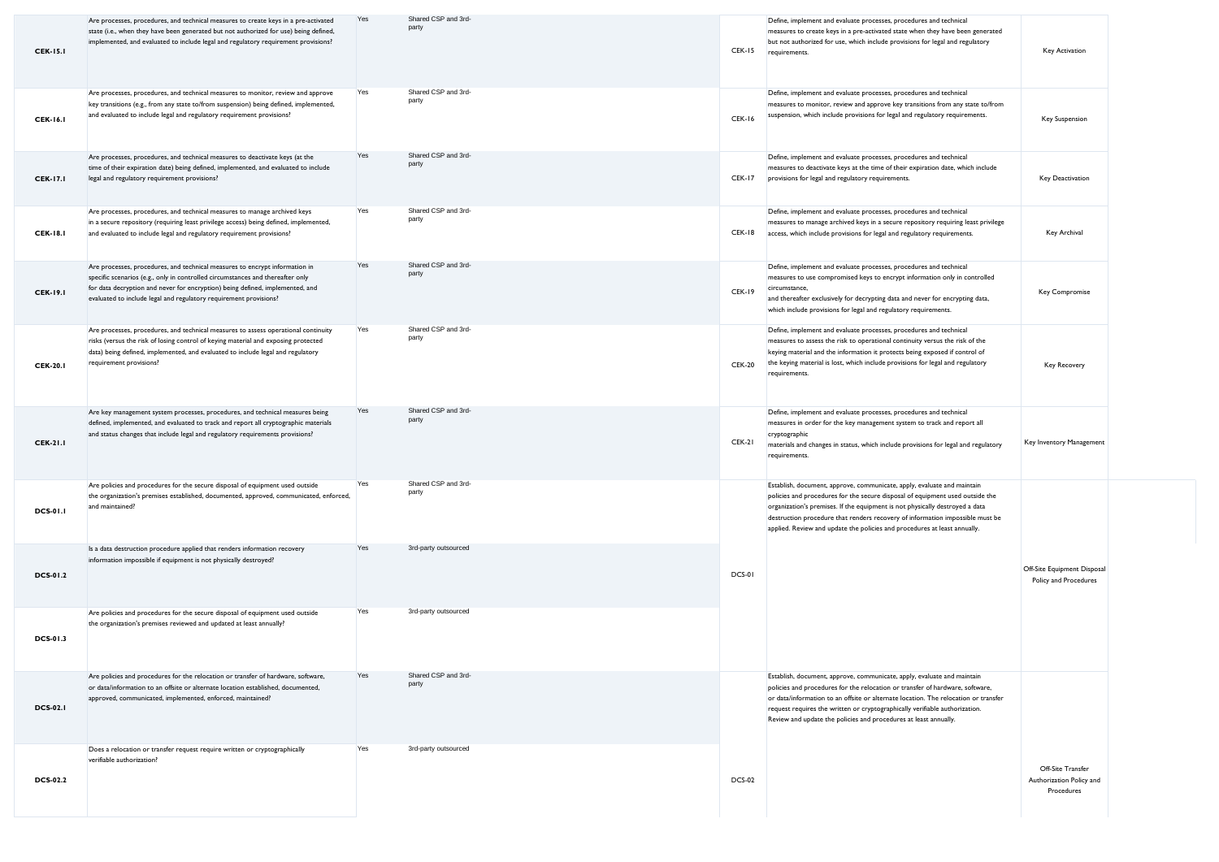| <b>CEK-15.1</b> | Are processes, procedures, and technical measures to create keys in a pre-activated<br>state (i.e., when they have been generated but not authorized for use) being defined,<br>implemented, and evaluated to include legal and regulatory requirement provisions?                                                  | Yes | Shared CSP and 3rd-<br>party | <b>CEK-15</b> | Define, implement and evaluate processes, procedures and technical<br>measures to create keys in a pre-activated state when they have been generated<br>but not authorized for use, which include provisions for legal and regulatory<br>requirements.                                                                                                                                                 | Key Activation                                              |  |
|-----------------|---------------------------------------------------------------------------------------------------------------------------------------------------------------------------------------------------------------------------------------------------------------------------------------------------------------------|-----|------------------------------|---------------|--------------------------------------------------------------------------------------------------------------------------------------------------------------------------------------------------------------------------------------------------------------------------------------------------------------------------------------------------------------------------------------------------------|-------------------------------------------------------------|--|
| <b>CEK-16.1</b> | Are processes, procedures, and technical measures to monitor, review and approve<br>key transitions (e.g., from any state to/from suspension) being defined, implemented,<br>and evaluated to include legal and regulatory requirement provisions?                                                                  | Yes | Shared CSP and 3rd-<br>party | CEK-16        | Define, implement and evaluate processes, procedures and technical<br>measures to monitor, review and approve key transitions from any state to/from<br>suspension, which include provisions for legal and regulatory requirements.                                                                                                                                                                    | <b>Key Suspension</b>                                       |  |
| <b>CEK-17.1</b> | Are processes, procedures, and technical measures to deactivate keys (at the<br>time of their expiration date) being defined, implemented, and evaluated to include<br>legal and regulatory requirement provisions?                                                                                                 | Yes | Shared CSP and 3rd-<br>party | CEK-17        | Define, implement and evaluate processes, procedures and technical<br>measures to deactivate keys at the time of their expiration date, which include<br>provisions for legal and regulatory requirements.                                                                                                                                                                                             | Key Deactivation                                            |  |
| <b>CEK-18.1</b> | Are processes, procedures, and technical measures to manage archived keys<br>in a secure repository (requiring least privilege access) being defined, implemented,<br>and evaluated to include legal and regulatory requirement provisions?                                                                         | Yes | Shared CSP and 3rd-<br>party | CEK-18        | Define, implement and evaluate processes, procedures and technical<br>measures to manage archived keys in a secure repository requiring least privilege<br>access, which include provisions for legal and regulatory requirements.                                                                                                                                                                     | Key Archival                                                |  |
| <b>CEK-19.1</b> | Are processes, procedures, and technical measures to encrypt information in<br>specific scenarios (e.g., only in controlled circumstances and thereafter only<br>for data decryption and never for encryption) being defined, implemented, and<br>evaluated to include legal and regulatory requirement provisions? | Yes | Shared CSP and 3rd-<br>party | CEK-19        | Define, implement and evaluate processes, procedures and technical<br>measures to use compromised keys to encrypt information only in controlled<br>circumstance,<br>and thereafter exclusively for decrypting data and never for encrypting data,<br>which include provisions for legal and regulatory requirements.                                                                                  | Key Compromise                                              |  |
| <b>CEK-20.1</b> | Are processes, procedures, and technical measures to assess operational continuity<br>risks (versus the risk of losing control of keying material and exposing protected<br>data) being defined, implemented, and evaluated to include legal and regulatory<br>requirement provisions?                              | Yes | Shared CSP and 3rd-<br>party | <b>CEK-20</b> | Define, implement and evaluate processes, procedures and technical<br>measures to assess the risk to operational continuity versus the risk of the<br>keying material and the information it protects being exposed if control of<br>the keying material is lost, which include provisions for legal and regulatory<br>requirements.                                                                   | <b>Key Recovery</b>                                         |  |
| <b>CEK-21.1</b> | Are key management system processes, procedures, and technical measures being<br>defined, implemented, and evaluated to track and report all cryptographic materials<br>and status changes that include legal and regulatory requirements provisions?                                                               | Yes | Shared CSP and 3rd-<br>party | CEK-21        | Define, implement and evaluate processes, procedures and technical<br>measures in order for the key management system to track and report all<br>cryptographic<br>materials and changes in status, which include provisions for legal and regulatory<br>requirements.                                                                                                                                  | Key Inventory Management                                    |  |
| <b>DCS-01.1</b> | Are policies and procedures for the secure disposal of equipment used outside<br>the organization's premises established, documented, approved, communicated, enforced,<br>and maintained?                                                                                                                          | Yes | Shared CSP and 3rd-<br>party |               | Establish, document, approve, communicate, apply, evaluate and maintain<br>policies and procedures for the secure disposal of equipment used outside the<br>organization's premises. If the equipment is not physically destroyed a data<br>destruction procedure that renders recovery of information impossible must be<br>applied. Review and update the policies and procedures at least annually. |                                                             |  |
| <b>DCS-01.2</b> | Is a data destruction procedure applied that renders information recovery<br>information impossible if equipment is not physically destroyed?                                                                                                                                                                       | Yes | 3rd-party outsourced         | DCS-01        |                                                                                                                                                                                                                                                                                                                                                                                                        | Off-Site Equipment Disposal<br>Policy and Procedures        |  |
| <b>DCS-01.3</b> | Are policies and procedures for the secure disposal of equipment used outside<br>the organization's premises reviewed and updated at least annually?                                                                                                                                                                | Yes | 3rd-party outsourced         |               |                                                                                                                                                                                                                                                                                                                                                                                                        |                                                             |  |
| <b>DCS-02.1</b> | Are policies and procedures for the relocation or transfer of hardware, software,<br>or data/information to an offsite or alternate location established, documented,<br>approved, communicated, implemented, enforced, maintained?                                                                                 | Yes | Shared CSP and 3rd-<br>party |               | Establish, document, approve, communicate, apply, evaluate and maintain<br>policies and procedures for the relocation or transfer of hardware, software,<br>or data/information to an offsite or alternate location. The relocation or transfer<br>request requires the written or cryptographically verifiable authorization.<br>Review and update the policies and procedures at least annually.     |                                                             |  |
| <b>DCS-02.2</b> | Does a relocation or transfer request require written or cryptographically<br>verifiable authorization?                                                                                                                                                                                                             | Yes | 3rd-party outsourced         | <b>DCS-02</b> |                                                                                                                                                                                                                                                                                                                                                                                                        | Off-Site Transfer<br>Authorization Policy and<br>Procedures |  |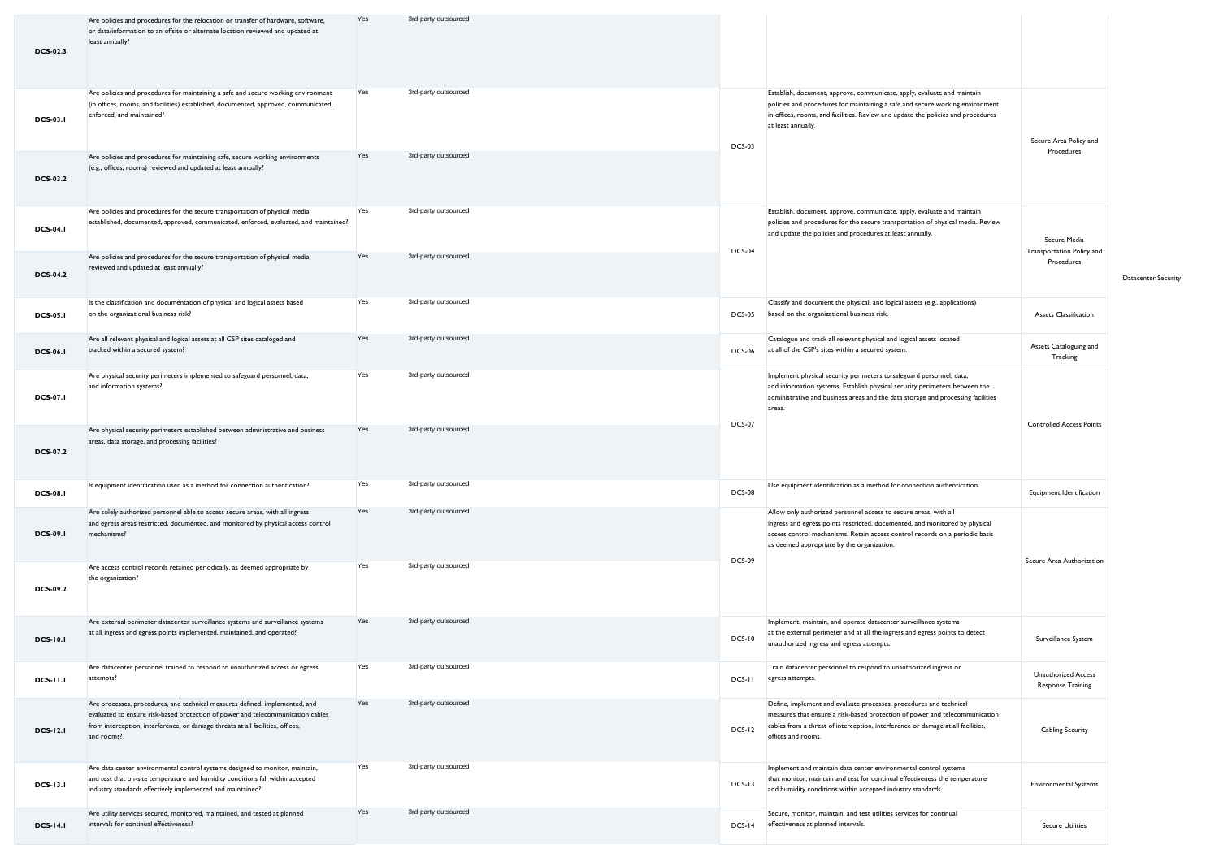| <b>DCS-02.3</b> | Are policies and procedures for the relocation or transfer of hardware, software,<br>or data/information to an offsite or alternate location reviewed and updated at<br>least annually?                                                                        | Yes | 3rd-party outsourced |               |                                                                                                                                                                                                                                                                               |                                                        |                     |
|-----------------|----------------------------------------------------------------------------------------------------------------------------------------------------------------------------------------------------------------------------------------------------------------|-----|----------------------|---------------|-------------------------------------------------------------------------------------------------------------------------------------------------------------------------------------------------------------------------------------------------------------------------------|--------------------------------------------------------|---------------------|
| <b>DCS-03.1</b> | Are policies and procedures for maintaining a safe and secure working environment<br>(in offices, rooms, and facilities) established, documented, approved, communicated,<br>enforced, and maintained?                                                         | Yes | 3rd-party outsourced | <b>DCS-03</b> | Establish, document, approve, communicate, apply, evaluate and maintain<br>policies and procedures for maintaining a safe and secure working environment<br>in offices, rooms, and facilities. Review and update the policies and procedures<br>at least annually.            | Secure Area Policy and                                 |                     |
| <b>DCS-03.2</b> | Are policies and procedures for maintaining safe, secure working environments<br>(e.g., offices, rooms) reviewed and updated at least annually?                                                                                                                | Yes | 3rd-party outsourced |               |                                                                                                                                                                                                                                                                               | Procedures                                             |                     |
| <b>DCS-04.1</b> | Are policies and procedures for the secure transportation of physical media<br>established, documented, approved, communicated, enforced, evaluated, and maintained?                                                                                           | Yes | 3rd-party outsourced |               | Establish, document, approve, communicate, apply, evaluate and maintain<br>policies and procedures for the secure transportation of physical media. Review<br>and update the policies and procedures at least annually.                                                       | Secure Media                                           |                     |
| <b>DCS-04.2</b> | Are policies and procedures for the secure transportation of physical media<br>reviewed and updated at least annually?                                                                                                                                         | Yes | 3rd-party outsourced | <b>DCS-04</b> |                                                                                                                                                                                                                                                                               | Transportation Policy and<br>Procedures                | Datacenter Security |
| <b>DCS-05.1</b> | Is the classification and documentation of physical and logical assets based<br>on the organizational business risk?                                                                                                                                           | Yes | 3rd-party outsourced | <b>DCS-05</b> | Classify and document the physical, and logical assets (e.g., applications)<br>based on the organizational business risk.                                                                                                                                                     | Assets Classification                                  |                     |
| <b>DCS-06.1</b> | Are all relevant physical and logical assets at all CSP sites cataloged and<br>tracked within a secured system?                                                                                                                                                | Yes | 3rd-party outsourced | <b>DCS-06</b> | Catalogue and track all relevant physical and logical assets located<br>at all of the CSP's sites within a secured system.                                                                                                                                                    | Assets Cataloguing and<br>Tracking                     |                     |
| <b>DCS-07.1</b> | Are physical security perimeters implemented to safeguard personnel, data,<br>and information systems?                                                                                                                                                         | Yes | 3rd-party outsourced |               | Implement physical security perimeters to safeguard personnel, data,<br>and information systems. Establish physical security perimeters between the<br>administrative and business areas and the data storage and processing facilities<br>areas.                             |                                                        |                     |
| <b>DCS-07.2</b> | Are physical security perimeters established between administrative and business<br>areas, data storage, and processing facilities?                                                                                                                            | Yes | 3rd-party outsourced | <b>DCS-07</b> |                                                                                                                                                                                                                                                                               | <b>Controlled Access Points</b>                        |                     |
| <b>DCS-08.1</b> | Is equipment identification used as a method for connection authentication?                                                                                                                                                                                    | Yes | 3rd-party outsourced | <b>DCS-08</b> | Use equipment identification as a method for connection authentication.                                                                                                                                                                                                       | Equipment Identification                               |                     |
| <b>DCS-09.1</b> | Are solely authorized personnel able to access secure areas, with all ingress<br>and egress areas restricted, documented, and monitored by physical access control<br>mechanisms?                                                                              | Yes | 3rd-party outsourced |               | Allow only authorized personnel access to secure areas, with all<br>ingress and egress points restricted, documented, and monitored by physical<br>access control mechanisms. Retain access control records on a periodic basis<br>as deemed appropriate by the organization. |                                                        |                     |
| <b>DCS-09.2</b> | Are access control records retained periodically, as deemed appropriate by<br>the organization?                                                                                                                                                                | Yes | 3rd-party outsourced | <b>DCS-09</b> |                                                                                                                                                                                                                                                                               | Secure Area Authorization                              |                     |
| <b>DCS-10.1</b> | Are external perimeter datacenter surveillance systems and surveillance systems<br>at all ingress and egress points implemented, maintained, and operated?                                                                                                     | Yes | 3rd-party outsourced | <b>DCS-10</b> | Implement, maintain, and operate datacenter surveillance systems<br>at the external perimeter and at all the ingress and egress points to detect<br>unauthorized ingress and egress attempts.                                                                                 | Surveillance System                                    |                     |
| <b>DCS-11.1</b> | Are datacenter personnel trained to respond to unauthorized access or egress<br>attempts?                                                                                                                                                                      | Yes | 3rd-party outsourced | DCS-II        | Train datacenter personnel to respond to unauthorized ingress or<br>egress attempts.                                                                                                                                                                                          | <b>Unauthorized Access</b><br><b>Response Training</b> |                     |
| <b>DCS-12.1</b> | Are processes, procedures, and technical measures defined, implemented, and<br>evaluated to ensure risk-based protection of power and telecommunication cables<br>from interception, interference, or damage threats at all facilities, offices,<br>and rooms? | Yes | 3rd-party outsourced | $DCS-12$      | Define, implement and evaluate processes, procedures and technical<br>measures that ensure a risk-based protection of power and telecommunication<br>cables from a threat of interception, interference or damage at all facilities,<br>offices and rooms.                    | Cabling Security                                       |                     |
| <b>DCS-13.1</b> | Are data center environmental control systems designed to monitor, maintain,<br>and test that on-site temperature and humidity conditions fall within accepted<br>industry standards effectively implemented and maintained?                                   | Yes | 3rd-party outsourced | $DCS-13$      | Implement and maintain data center environmental control systems<br>that monitor, maintain and test for continual effectiveness the temperature<br>and humidity conditions within accepted industry standards.                                                                | <b>Environmental Systems</b>                           |                     |
| <b>DCS-14.1</b> | Are utility services secured, monitored, maintained, and tested at planned<br>intervals for continual effectiveness?                                                                                                                                           | Yes | 3rd-party outsourced | $DCS-I4$      | Secure, monitor, maintain, and test utilities services for continual<br>effectiveness at planned intervals.                                                                                                                                                                   | <b>Secure Utilities</b>                                |                     |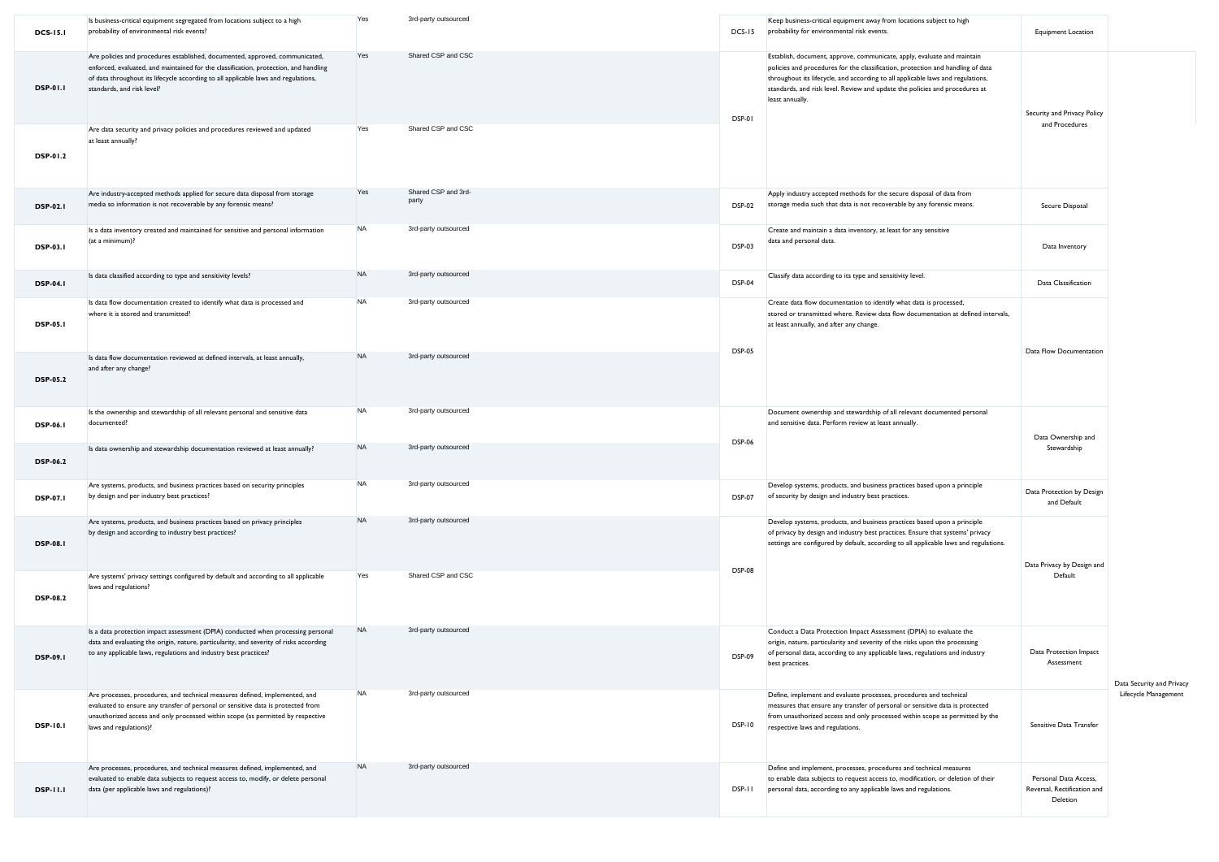| <b>DCS-15.1</b> | Is business-critical equipment segregated from locations subject to a high<br>probability of environmental risk events?                                                                                                                                                                  | Yes       | 3rd-party outsourced         | DCS-15        | Keep business-critical equipment away from locations subject to high<br>probability for environmental risk events.                                                                                                                                                                                                                              | <b>Equipment Location</b>                                        |                           |
|-----------------|------------------------------------------------------------------------------------------------------------------------------------------------------------------------------------------------------------------------------------------------------------------------------------------|-----------|------------------------------|---------------|-------------------------------------------------------------------------------------------------------------------------------------------------------------------------------------------------------------------------------------------------------------------------------------------------------------------------------------------------|------------------------------------------------------------------|---------------------------|
| <b>DSP-01.1</b> | Are policies and procedures established, documented, approved, communicated,<br>enforced, evaluated, and maintained for the classification, protection, and handling<br>of data throughout its lifecycle according to all applicable laws and regulations,<br>standards, and risk level? | Yes       | Shared CSP and CSC           | DSP-01        | Establish, document, approve, communicate, apply, evaluate and maintain<br>policies and procedures for the classification, protection and handling of data<br>throughout its lifecycle, and according to all applicable laws and regulations,<br>standards, and risk level. Review and update the policies and procedures at<br>least annually. | Security and Privacy Policy                                      |                           |
| DSP-01.2        | Are data security and privacy policies and procedures reviewed and updated<br>at least annually?                                                                                                                                                                                         | Yes       | Shared CSP and CSC           |               |                                                                                                                                                                                                                                                                                                                                                 | and Procedures                                                   |                           |
| <b>DSP-02.1</b> | Are industry-accepted methods applied for secure data disposal from storage<br>media so information is not recoverable by any forensic means?                                                                                                                                            | Yes       | Shared CSP and 3rd-<br>party | <b>DSP-02</b> | Apply industry accepted methods for the secure disposal of data from<br>storage media such that data is not recoverable by any forensic means.                                                                                                                                                                                                  | Secure Disposal                                                  |                           |
| DSP-03.1        | Is a data inventory created and maintained for sensitive and personal information<br>(at a minimum)?                                                                                                                                                                                     | <b>NA</b> | 3rd-party outsourced         | <b>DSP-03</b> | Create and maintain a data inventory, at least for any sensitive<br>data and personal data.                                                                                                                                                                                                                                                     | Data Inventory                                                   |                           |
| <b>DSP-04.1</b> | Is data classified according to type and sensitivity levels?                                                                                                                                                                                                                             | <b>NA</b> | 3rd-party outsourced         | <b>DSP-04</b> | Classify data according to its type and sensitivity level.                                                                                                                                                                                                                                                                                      | Data Classification                                              |                           |
| <b>DSP-05.1</b> | Is data flow documentation created to identify what data is processed and<br>where it is stored and transmitted?                                                                                                                                                                         | <b>NA</b> | 3rd-party outsourced         |               | Create data flow documentation to identify what data is processed,<br>stored or transmitted where. Review data flow documentation at defined intervals,<br>at least annually, and after any change.                                                                                                                                             |                                                                  |                           |
| <b>DSP-05.2</b> | Is data flow documentation reviewed at defined intervals, at least annually,<br>and after any change?                                                                                                                                                                                    | <b>NA</b> | 3rd-party outsourced         | <b>DSP-05</b> |                                                                                                                                                                                                                                                                                                                                                 | Data Flow Documentation                                          |                           |
| <b>DSP-06.1</b> | Is the ownership and stewardship of all relevant personal and sensitive data<br>documented?                                                                                                                                                                                              | <b>NA</b> | 3rd-party outsourced         | <b>DSP-06</b> | Document ownership and stewardship of all relevant documented personal<br>and sensitive data. Perform review at least annually.                                                                                                                                                                                                                 | Data Ownership and                                               |                           |
| <b>DSP-06.2</b> | Is data ownership and stewardship documentation reviewed at least annually?                                                                                                                                                                                                              | <b>NA</b> | 3rd-party outsourced         |               |                                                                                                                                                                                                                                                                                                                                                 | Stewardship                                                      |                           |
| <b>DSP-07.1</b> | Are systems, products, and business practices based on security principles<br>by design and per industry best practices?                                                                                                                                                                 | <b>NA</b> | 3rd-party outsourced         | <b>DSP-07</b> | Develop systems, products, and business practices based upon a principle<br>of security by design and industry best practices.                                                                                                                                                                                                                  | Data Protection by Design<br>and Default                         |                           |
| <b>DSP-08.1</b> | Are systems, products, and business practices based on privacy principles<br>by design and according to industry best practices?                                                                                                                                                         | <b>NA</b> | 3rd-party outsourced         |               | Develop systems, products, and business practices based upon a principle<br>of privacy by design and industry best practices. Ensure that systems' privacy<br>settings are configured by default, according to all applicable laws and regulations.                                                                                             | Data Privacy by Design and                                       |                           |
| <b>DSP-08.2</b> | Are systems' privacy settings configured by default and according to all applicable<br>laws and regulations?                                                                                                                                                                             | Yes       | Shared CSP and CSC           | <b>DSP-08</b> |                                                                                                                                                                                                                                                                                                                                                 | Default                                                          |                           |
| <b>DSP-09.1</b> | Is a data protection impact assessment (DPIA) conducted when processing personal<br>data and evaluating the origin, nature, particularity, and severity of risks according<br>to any applicable laws, regulations and industry best practices?                                           | <b>NA</b> | 3rd-party outsourced         | <b>DSP-09</b> | Conduct a Data Protection Impact Assessment (DPIA) to evaluate the<br>origin, nature, particularity and severity of the risks upon the processing<br>of personal data, according to any applicable laws, regulations and industry<br>best practices.                                                                                            | Data Protection Impact<br>Assessment                             | Data Security and Privacy |
| <b>DSP-10.1</b> | Are processes, procedures, and technical measures defined, implemented, and<br>evaluated to ensure any transfer of personal or sensitive data is protected from<br>unauthorized access and only processed within scope (as permitted by respective<br>laws and regulations)?             | <b>NA</b> | 3rd-party outsourced         | <b>DSP-10</b> | Define, implement and evaluate processes, procedures and technical<br>measures that ensure any transfer of personal or sensitive data is protected<br>from unauthorized access and only processed within scope as permitted by the<br>respective laws and regulations.                                                                          | Sensitive Data Transfer                                          | Lifecycle Management      |
| <b>DSP-11.1</b> | Are processes, procedures, and technical measures defined, implemented, and<br>evaluated to enable data subjects to request access to, modify, or delete personal<br>data (per applicable laws and regulations)?                                                                         | <b>NA</b> | 3rd-party outsourced         | DSP-11        | Define and implement, processes, procedures and technical measures<br>to enable data subjects to request access to, modification, or deletion of their<br>personal data, according to any applicable laws and regulations.                                                                                                                      | Personal Data Access,<br>Reversal, Rectification and<br>Deletion |                           |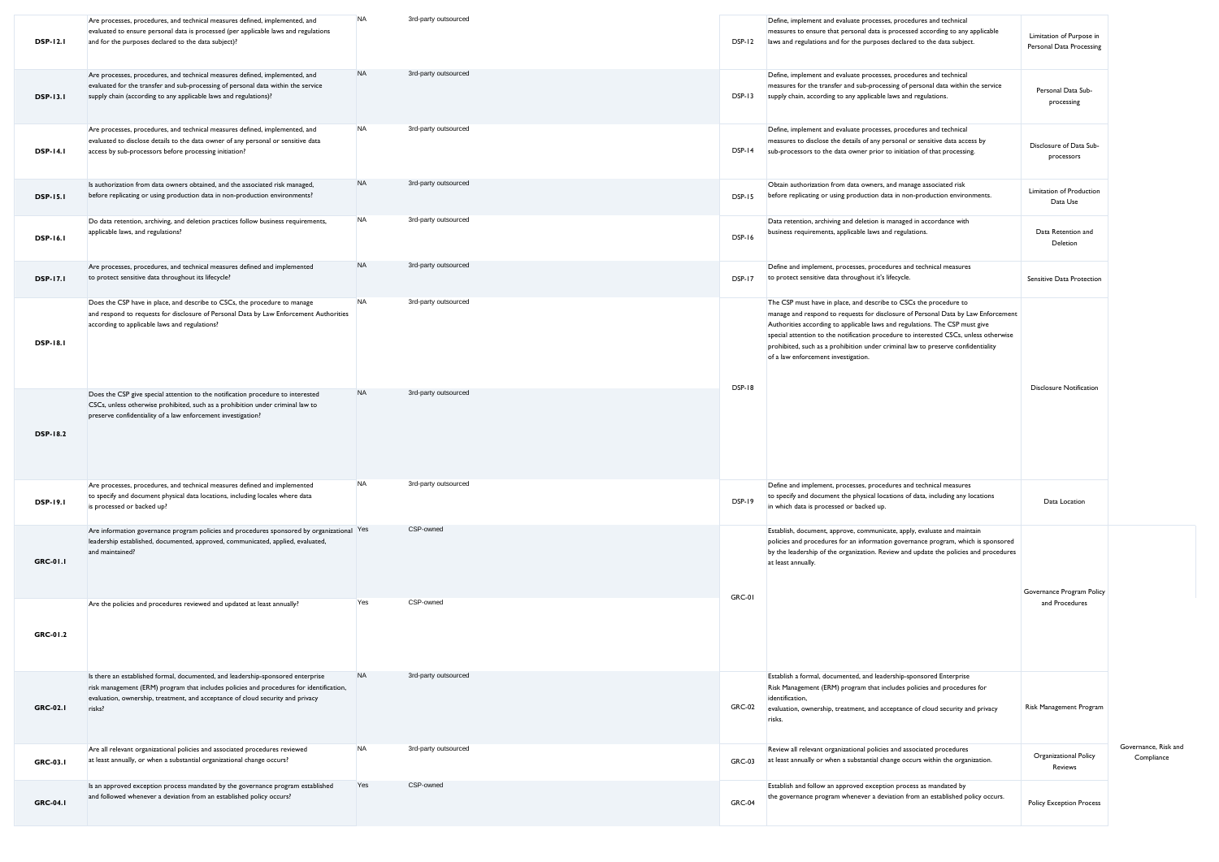| <b>DSP-12.1</b> | Are processes, procedures, and technical measures defined, implemented, and<br>evaluated to ensure personal data is processed (per applicable laws and regulations<br>and for the purposes declared to the data subject)?                                              | <b>NA</b> | 3rd-party outsourced | DSP-12        | Define, implement and evaluate processes, procedures and technical<br>measures to ensure that personal data is processed according to any applicable<br>laws and regulations and for the purposes declared to the data subject.                                                                                                                                                                                                                          | Limitation of Purpose in<br>Personal Data Processing |                                    |
|-----------------|------------------------------------------------------------------------------------------------------------------------------------------------------------------------------------------------------------------------------------------------------------------------|-----------|----------------------|---------------|----------------------------------------------------------------------------------------------------------------------------------------------------------------------------------------------------------------------------------------------------------------------------------------------------------------------------------------------------------------------------------------------------------------------------------------------------------|------------------------------------------------------|------------------------------------|
| <b>DSP-13.1</b> | Are processes, procedures, and technical measures defined, implemented, and<br>evaluated for the transfer and sub-processing of personal data within the service<br>supply chain (according to any applicable laws and regulations)?                                   | <b>NA</b> | 3rd-party outsourced | <b>DSP-13</b> | Define, implement and evaluate processes, procedures and technical<br>measures for the transfer and sub-processing of personal data within the service<br>supply chain, according to any applicable laws and regulations.                                                                                                                                                                                                                                | Personal Data Sub-<br>processing                     |                                    |
| <b>DSP-14.1</b> | Are processes, procedures, and technical measures defined, implemented, and<br>evaluated to disclose details to the data owner of any personal or sensitive data<br>access by sub-processors before processing initiation?                                             | <b>NA</b> | 3rd-party outsourced | DSP-14        | Define, implement and evaluate processes, procedures and technical<br>measures to disclose the details of any personal or sensitive data access by<br>sub-processors to the data owner prior to initiation of that processing.                                                                                                                                                                                                                           | Disclosure of Data Sub-<br>processors                |                                    |
| <b>DSP-15.1</b> | Is authorization from data owners obtained, and the associated risk managed,<br>before replicating or using production data in non-production environments?                                                                                                            | <b>NA</b> | 3rd-party outsourced | <b>DSP-15</b> | Obtain authorization from data owners, and manage associated risk<br>before replicating or using production data in non-production environments.                                                                                                                                                                                                                                                                                                         | Limitation of Production<br>Data Use                 |                                    |
| <b>DSP-16.1</b> | Do data retention, archiving, and deletion practices follow business requirements,<br>applicable laws, and regulations?                                                                                                                                                | <b>NA</b> | 3rd-party outsourced | <b>DSP-16</b> | Data retention, archiving and deletion is managed in accordance with<br>business requirements, applicable laws and regulations.                                                                                                                                                                                                                                                                                                                          | Data Retention and<br>Deletion                       |                                    |
| <b>DSP-17.1</b> | Are processes, procedures, and technical measures defined and implemented<br>to protect sensitive data throughout its lifecycle?                                                                                                                                       | <b>NA</b> | 3rd-party outsourced | <b>DSP-17</b> | Define and implement, processes, procedures and technical measures<br>to protect sensitive data throughout it's lifecycle.                                                                                                                                                                                                                                                                                                                               | Sensitive Data Protection                            |                                    |
| <b>DSP-18.1</b> | Does the CSP have in place, and describe to CSCs, the procedure to manage<br>and respond to requests for disclosure of Personal Data by Law Enforcement Authorities<br>according to applicable laws and regulations?                                                   | <b>NA</b> | 3rd-party outsourced |               | The CSP must have in place, and describe to CSCs the procedure to<br>manage and respond to requests for disclosure of Personal Data by Law Enforcement<br>Authorities according to applicable laws and regulations. The CSP must give<br>special attention to the notification procedure to interested CSCs, unless otherwise<br>prohibited, such as a prohibition under criminal law to preserve confidentiality<br>of a law enforcement investigation. |                                                      |                                    |
| <b>DSP-18.2</b> | Does the CSP give special attention to the notification procedure to interested<br>CSCs, unless otherwise prohibited, such as a prohibition under criminal law to<br>preserve confidentiality of a law enforcement investigation?                                      | <b>NA</b> | 3rd-party outsourced | <b>DSP-18</b> |                                                                                                                                                                                                                                                                                                                                                                                                                                                          | <b>Disclosure Notification</b>                       |                                    |
| <b>DSP-19.1</b> | Are processes, procedures, and technical measures defined and implemented<br>to specify and document physical data locations, including locales where data<br>is processed or backed up?                                                                               | <b>NA</b> | 3rd-party outsourced | DSP-19        | Define and implement, processes, procedures and technical measures<br>to specify and document the physical locations of data, including any locations<br>in which data is processed or backed up.                                                                                                                                                                                                                                                        | Data Location                                        |                                    |
| <b>GRC-01.1</b> | Are information governance program policies and procedures sponsored by organizational Yes<br>leadership established, documented, approved, communicated, applied, evaluated,<br>and maintained?                                                                       |           | CSP-owned            | <b>GRC-01</b> | Establish, document, approve, communicate, apply, evaluate and maintain<br>policies and procedures for an information governance program, which is sponsored<br>by the leadership of the organization. Review and update the policies and procedures<br>at least annually.                                                                                                                                                                               | Governance Program Policy                            |                                    |
| GRC-01.2        | Are the policies and procedures reviewed and updated at least annually?                                                                                                                                                                                                | Yes       | CSP-owned            |               |                                                                                                                                                                                                                                                                                                                                                                                                                                                          | and Procedures                                       |                                    |
| <b>GRC-02.1</b> | Is there an established formal, documented, and leadership-sponsored enterprise<br>risk management (ERM) program that includes policies and procedures for identification,<br>evaluation, ownership, treatment, and acceptance of cloud security and privacy<br>risks? | <b>NA</b> | 3rd-party outsourced | <b>GRC-02</b> | Establish a formal, documented, and leadership-sponsored Enterprise<br>Risk Management (ERM) program that includes policies and procedures for<br>identification,<br>evaluation, ownership, treatment, and acceptance of cloud security and privacy<br>risks.                                                                                                                                                                                            | Risk Management Program                              |                                    |
| <b>GRC-03.1</b> | Are all relevant organizational policies and associated procedures reviewed<br>at least annually, or when a substantial organizational change occurs?                                                                                                                  | <b>NA</b> | 3rd-party outsourced | <b>GRC-03</b> | Review all relevant organizational policies and associated procedures<br>at least annually or when a substantial change occurs within the organization.                                                                                                                                                                                                                                                                                                  | Organizational Policy<br>Reviews                     | Governance, Risk and<br>Compliance |
| <b>GRC-04.1</b> | Is an approved exception process mandated by the governance program established<br>and followed whenever a deviation from an established policy occurs?                                                                                                                | Yes       | CSP-owned            | <b>GRC-04</b> | Establish and follow an approved exception process as mandated by<br>the governance program whenever a deviation from an established policy occurs.                                                                                                                                                                                                                                                                                                      | <b>Policy Exception Process</b>                      |                                    |
|                 |                                                                                                                                                                                                                                                                        |           |                      |               |                                                                                                                                                                                                                                                                                                                                                                                                                                                          |                                                      |                                    |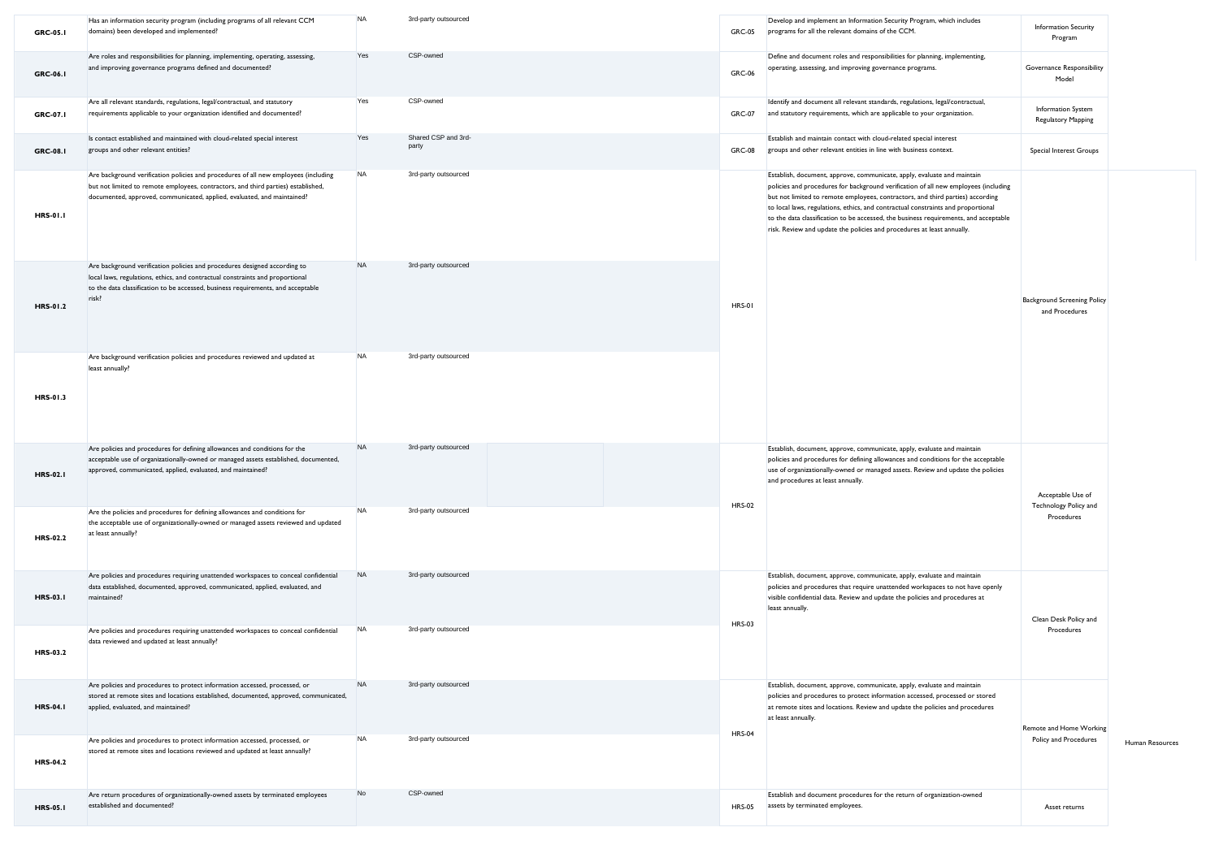| <b>GRC-05.1</b> | Has an information security program (including programs of all relevant CCM<br>domains) been developed and implemented?                                                                                                                                 | <b>NA</b> | 3rd-party outsourced         | <b>GRC-05</b> | Develop and implement an Information Security Program, which includes<br>programs for all the relevant domains of the CCM.                                                                                                                                                                                                                                                                                                                                                                             | Information Security<br>Program                      |                 |
|-----------------|---------------------------------------------------------------------------------------------------------------------------------------------------------------------------------------------------------------------------------------------------------|-----------|------------------------------|---------------|--------------------------------------------------------------------------------------------------------------------------------------------------------------------------------------------------------------------------------------------------------------------------------------------------------------------------------------------------------------------------------------------------------------------------------------------------------------------------------------------------------|------------------------------------------------------|-----------------|
| GRC-06.1        | Are roles and responsibilities for planning, implementing, operating, assessing,<br>and improving governance programs defined and documented?                                                                                                           | Yes       | CSP-owned                    | <b>GRC-06</b> | Define and document roles and responsibilities for planning, implementing,<br>operating, assessing, and improving governance programs.                                                                                                                                                                                                                                                                                                                                                                 | Governance Responsibility<br>Model                   |                 |
| GRC-07.1        | Are all relevant standards, regulations, legal/contractual, and statutory<br>requirements applicable to your organization identified and documented?                                                                                                    | Yes       | CSP-owned                    | <b>GRC-07</b> | Identify and document all relevant standards, regulations, legal/contractual,<br>and statutory requirements, which are applicable to your organization.                                                                                                                                                                                                                                                                                                                                                | Information System<br>Regulatory Mapping             |                 |
| GRC-08.1        | Is contact established and maintained with cloud-related special interest<br>groups and other relevant entities?                                                                                                                                        | Yes       | Shared CSP and 3rd-<br>party | <b>GRC-08</b> | Establish and maintain contact with cloud-related special interest<br>groups and other relevant entities in line with business context.                                                                                                                                                                                                                                                                                                                                                                | Special Interest Groups                              |                 |
| <b>HRS-01.1</b> | Are background verification policies and procedures of all new employees (including<br>but not limited to remote employees, contractors, and third parties) established,<br>documented, approved, communicated, applied, evaluated, and maintained?     | <b>NA</b> | 3rd-party outsourced         |               | Establish, document, approve, communicate, apply, evaluate and maintain<br>policies and procedures for background verification of all new employees (including<br>but not limited to remote employees, contractors, and third parties) according<br>to local laws, regulations, ethics, and contractual constraints and proportional<br>to the data classification to be accessed, the business requirements, and acceptable<br>risk. Review and update the policies and procedures at least annually. |                                                      |                 |
| HRS-01.2        | Are background verification policies and procedures designed according to<br>local laws, regulations, ethics, and contractual constraints and proportional<br>to the data classification to be accessed, business requirements, and acceptable<br>risk? | <b>NA</b> | 3rd-party outsourced         | <b>HRS-01</b> |                                                                                                                                                                                                                                                                                                                                                                                                                                                                                                        | <b>Background Screening Policy</b><br>and Procedures |                 |
| HRS-01.3        | Are background verification policies and procedures reviewed and updated at<br>least annually?                                                                                                                                                          | <b>NA</b> | 3rd-party outsourced         |               |                                                                                                                                                                                                                                                                                                                                                                                                                                                                                                        |                                                      |                 |
| <b>HRS-02.1</b> | Are policies and procedures for defining allowances and conditions for the<br>acceptable use of organizationally-owned or managed assets established, documented,<br>approved, communicated, applied, evaluated, and maintained?                        | <b>NA</b> | 3rd-party outsourced         | <b>HRS-02</b> | Establish, document, approve, communicate, apply, evaluate and maintain<br>policies and procedures for defining allowances and conditions for the acceptable<br>use of organizationally-owned or managed assets. Review and update the policies<br>and procedures at least annually.                                                                                                                                                                                                                   | Acceptable Use of<br>Technology Policy and           |                 |
| <b>HRS-02.2</b> | Are the policies and procedures for defining allowances and conditions for<br>the acceptable use of organizationally-owned or managed assets reviewed and updated<br>at least annually?                                                                 | <b>NA</b> | 3rd-party outsourced         |               |                                                                                                                                                                                                                                                                                                                                                                                                                                                                                                        | Procedures                                           |                 |
| <b>HRS-03.1</b> | Are policies and procedures requiring unattended workspaces to conceal confidential<br>data established, documented, approved, communicated, applied, evaluated, and<br>maintained?                                                                     | <b>NA</b> | 3rd-party outsourced         | <b>HRS-03</b> | Establish, document, approve, communicate, apply, evaluate and maintain<br>policies and procedures that require unattended workspaces to not have openly<br>visible confidential data. Review and update the policies and procedures at<br>least annually.                                                                                                                                                                                                                                             | Clean Desk Policy and                                |                 |
| HRS-03.2        | Are policies and procedures requiring unattended workspaces to conceal confidential<br>data reviewed and updated at least annually?                                                                                                                     | <b>NA</b> | 3rd-party outsourced         |               |                                                                                                                                                                                                                                                                                                                                                                                                                                                                                                        | Procedures                                           |                 |
| <b>HRS-04.1</b> | Are policies and procedures to protect information accessed, processed, or<br>stored at remote sites and locations established, documented, approved, communicated,<br>applied, evaluated, and maintained?                                              | <b>NA</b> | 3rd-party outsourced         | <b>HRS-04</b> | Establish, document, approve, communicate, apply, evaluate and maintain<br>policies and procedures to protect information accessed, processed or stored<br>at remote sites and locations. Review and update the policies and procedures<br>at least annually.                                                                                                                                                                                                                                          | Remote and Home Working                              |                 |
| <b>HRS-04.2</b> | Are policies and procedures to protect information accessed, processed, or<br>stored at remote sites and locations reviewed and updated at least annually?                                                                                              | <b>NA</b> | 3rd-party outsourced         |               |                                                                                                                                                                                                                                                                                                                                                                                                                                                                                                        | Policy and Procedures                                | Human Resources |
| <b>HRS-05.1</b> | Are return procedures of organizationally-owned assets by terminated employees<br>established and documented?                                                                                                                                           | No        | CSP-owned                    | <b>HRS-05</b> | Establish and document procedures for the return of organization-owned<br>assets by terminated employees.                                                                                                                                                                                                                                                                                                                                                                                              | Asset returns                                        |                 |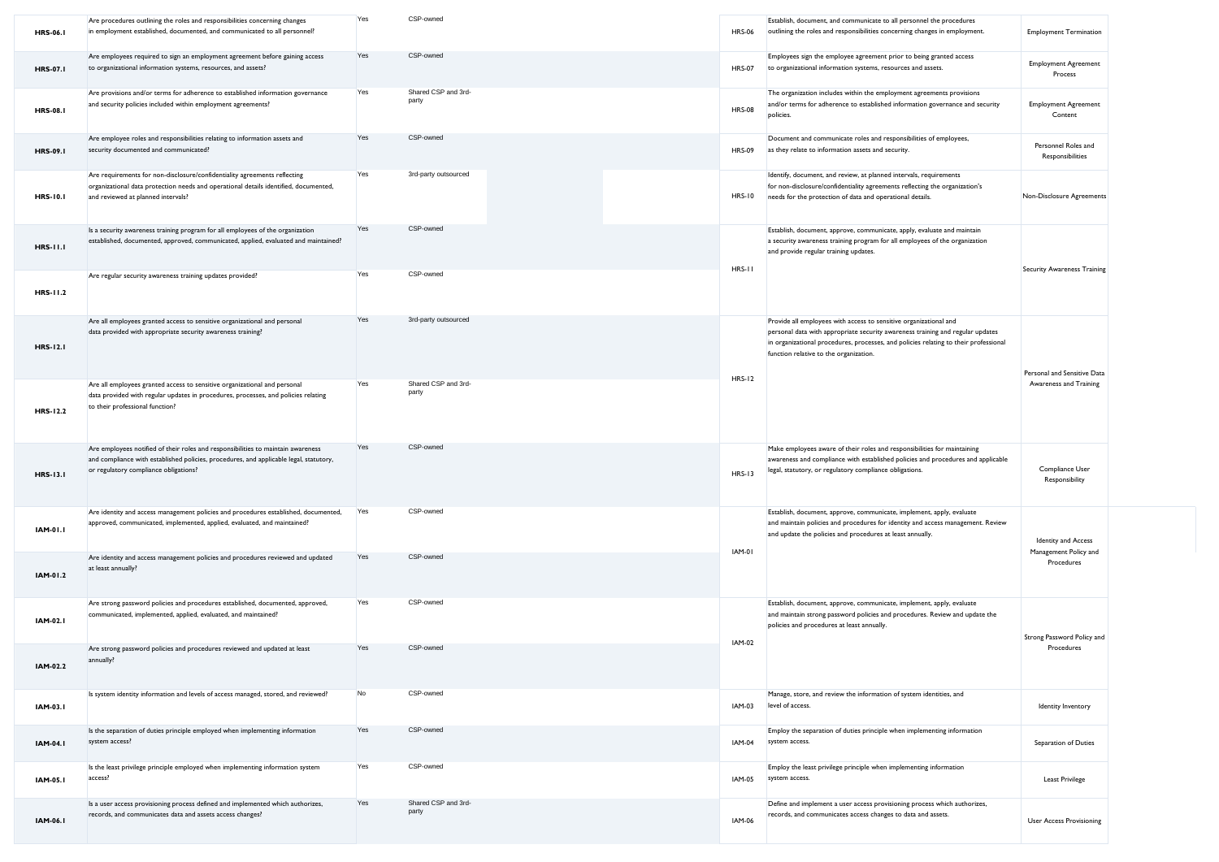| <b>HRS-06.1</b> | Are procedures outlining the roles and responsibilities concerning changes<br>in employment established, documented, and communicated to all personnel?                                                             | Yes | CSP-owned                    | <b>HRS-06</b> | Establish, document, and communicate to all personnel the procedures<br>outlining the roles and responsibilities concerning changes in employment.                                                                                                                                    | <b>Employment Termination</b>           |
|-----------------|---------------------------------------------------------------------------------------------------------------------------------------------------------------------------------------------------------------------|-----|------------------------------|---------------|---------------------------------------------------------------------------------------------------------------------------------------------------------------------------------------------------------------------------------------------------------------------------------------|-----------------------------------------|
| <b>HRS-07.1</b> | Are employees required to sign an employment agreement before gaining access<br>to organizational information systems, resources, and assets?                                                                       | Yes | CSP-owned                    | <b>HRS-07</b> | Employees sign the employee agreement prior to being granted access<br>to organizational information systems, resources and assets.                                                                                                                                                   | <b>Employment Agreement</b><br>Process  |
| <b>HRS-08.1</b> | Are provisions and/or terms for adherence to established information governance<br>and security policies included within employment agreements?                                                                     | Yes | Shared CSP and 3rd-<br>party | <b>HRS-08</b> | The organization includes within the employment agreements provisions<br>and/or terms for adherence to established information governance and security<br>policies.                                                                                                                   | <b>Employment Agreement</b><br>Content  |
| <b>HRS-09.1</b> | Are employee roles and responsibilities relating to information assets and<br>security documented and communicated?                                                                                                 | Yes | CSP-owned                    | <b>HRS-09</b> | Document and communicate roles and responsibilities of employees,<br>as they relate to information assets and security.                                                                                                                                                               | Personnel Roles and<br>Responsibilities |
| <b>HRS-10.1</b> | Are requirements for non-disclosure/confidentiality agreements reflecting<br>organizational data protection needs and operational details identified, documented,<br>and reviewed at planned intervals?             | Yes | 3rd-party outsourced         | <b>HRS-10</b> | Identify, document, and review, at planned intervals, requirements<br>for non-disclosure/confidentiality agreements reflecting the organization's<br>needs for the protection of data and operational details.                                                                        | Non-Disclosure Agreements               |
| <b>HRS-11.1</b> | Is a security awareness training program for all employees of the organization<br>established, documented, approved, communicated, applied, evaluated and maintained?                                               | Yes | CSP-owned                    | HRS-II        | Establish, document, approve, communicate, apply, evaluate and maintain<br>a security awareness training program for all employees of the organization<br>and provide regular training updates.                                                                                       | <b>Security Awareness Training</b>      |
| <b>HRS-11.2</b> | Are regular security awareness training updates provided?                                                                                                                                                           | Yes | CSP-owned                    |               |                                                                                                                                                                                                                                                                                       |                                         |
| <b>HRS-12.1</b> | Are all employees granted access to sensitive organizational and personal<br>data provided with appropriate security awareness training?                                                                            | Yes | 3rd-party outsourced         |               | Provide all employees with access to sensitive organizational and<br>personal data with appropriate security awareness training and regular updates<br>in organizational procedures, processes, and policies relating to their professional<br>function relative to the organization. | Personal and Sensitive Data             |
| <b>HRS-12.2</b> | Are all employees granted access to sensitive organizational and personal<br>data provided with regular updates in procedures, processes, and policies relating<br>to their professional function?                  | Yes | Shared CSP and 3rd-<br>party | <b>HRS-12</b> |                                                                                                                                                                                                                                                                                       | Awareness and Training                  |
| <b>HRS-13.1</b> | Are employees notified of their roles and responsibilities to maintain awareness<br>and compliance with established policies, procedures, and applicable legal, statutory,<br>or regulatory compliance obligations? | Yes | CSP-owned                    | <b>HRS-13</b> | Make employees aware of their roles and responsibilities for maintaining<br>awareness and compliance with established policies and procedures and applicable<br>legal, statutory, or regulatory compliance obligations.                                                               | Compliance User<br>Responsibility       |
| <b>IAM-01.I</b> | Are identity and access management policies and procedures established, documented,<br>approved, communicated, implemented, applied, evaluated, and maintained?                                                     | Yes | CSP-owned                    |               | Establish, document, approve, communicate, implement, apply, evaluate<br>and maintain policies and procedures for identity and access management. Review<br>and update the policies and procedures at least annually.                                                                 | <b>Identity and Access</b>              |
| IAM-01.2        | Are identity and access management policies and procedures reviewed and updated<br>at least annually?                                                                                                               | Yes | CSP-owned                    | IAM-01        |                                                                                                                                                                                                                                                                                       | Management Policy and<br>Procedures     |
| <b>IAM-02.1</b> | Are strong password policies and procedures established, documented, approved,<br>communicated, implemented, applied, evaluated, and maintained?                                                                    | Yes | CSP-owned                    |               | Establish, document, approve, communicate, implement, apply, evaluate<br>and maintain strong password policies and procedures. Review and update the<br>policies and procedures at least annually.                                                                                    | Strong Password Policy and              |
| IAM-02.2        | Are strong password policies and procedures reviewed and updated at least<br>annually?                                                                                                                              | Yes | CSP-owned                    | IAM-02        |                                                                                                                                                                                                                                                                                       | Procedures                              |
| <b>IAM-03.1</b> | Is system identity information and levels of access managed, stored, and reviewed?                                                                                                                                  | No  | CSP-owned                    | IAM-03        | Manage, store, and review the information of system identities, and<br>level of access.                                                                                                                                                                                               | Identity Inventory                      |
| <b>IAM-04.1</b> | Is the separation of duties principle employed when implementing information<br>system access?                                                                                                                      | Yes | CSP-owned                    | IAM-04        | Employ the separation of duties principle when implementing information<br>system access.                                                                                                                                                                                             | Separation of Duties                    |
| IAM-05.1        | Is the least privilege principle employed when implementing information system<br>access?                                                                                                                           | Yes | CSP-owned                    | IAM-05        | Employ the least privilege principle when implementing information<br>system access.                                                                                                                                                                                                  | <b>Least Privilege</b>                  |
| <b>IAM-06.I</b> | Is a user access provisioning process defined and implemented which authorizes,<br>records, and communicates data and assets access changes?                                                                        | Yes | Shared CSP and 3rd-<br>party | <b>IAM-06</b> | Define and implement a user access provisioning process which authorizes,<br>records, and communicates access changes to data and assets.                                                                                                                                             | <b>User Access Provisioning</b>         |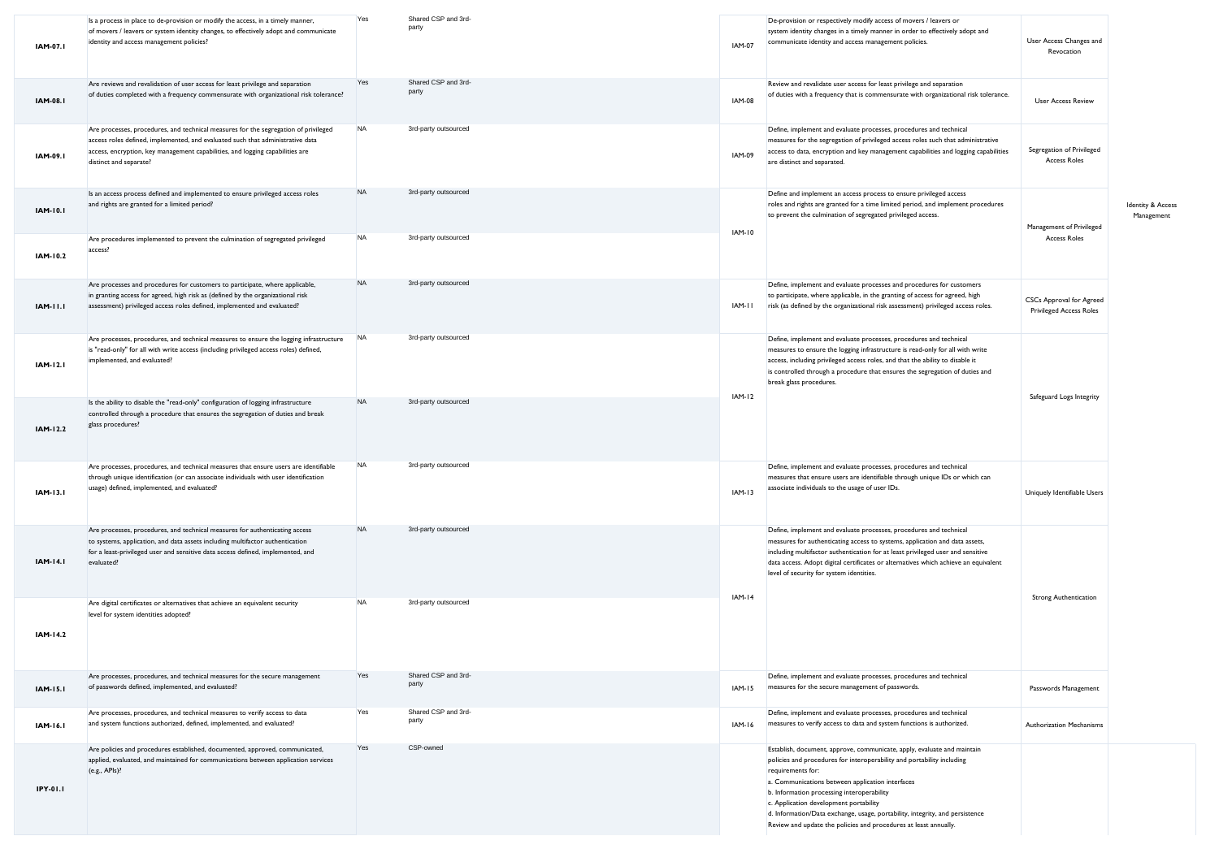| IAM-07.I        | Is a process in place to de-provision or modify the access, in a timely manner,<br>of movers / leavers or system identity changes, to effectively adopt and communicate<br>identity and access management policies?                                                              | Yes       | Shared CSP and 3rd-<br>party | <b>IAM-07</b> | De-provision or respectively modify access of movers / leavers or<br>system identity changes in a timely manner in order to effectively adopt and<br>communicate identity and access management policies.                                                                                                                                                                                                                                                              | User Access Changes and<br>Revocation                             |                                            |
|-----------------|----------------------------------------------------------------------------------------------------------------------------------------------------------------------------------------------------------------------------------------------------------------------------------|-----------|------------------------------|---------------|------------------------------------------------------------------------------------------------------------------------------------------------------------------------------------------------------------------------------------------------------------------------------------------------------------------------------------------------------------------------------------------------------------------------------------------------------------------------|-------------------------------------------------------------------|--------------------------------------------|
| <b>IAM-08.I</b> | Are reviews and revalidation of user access for least privilege and separation<br>of duties completed with a frequency commensurate with organizational risk tolerance?                                                                                                          | Yes       | Shared CSP and 3rd-<br>party | <b>IAM-08</b> | Review and revalidate user access for least privilege and separation<br>of duties with a frequency that is commensurate with organizational risk tolerance.                                                                                                                                                                                                                                                                                                            | <b>User Access Review</b>                                         |                                            |
| <b>IAM-09.I</b> | Are processes, procedures, and technical measures for the segregation of privileged<br>access roles defined, implemented, and evaluated such that administrative data<br>access, encryption, key management capabilities, and logging capabilities are<br>distinct and separate? | <b>NA</b> | 3rd-party outsourced         | IAM-09        | Define, implement and evaluate processes, procedures and technical<br>measures for the segregation of privileged access roles such that administrative<br>access to data, encryption and key management capabilities and logging capabilities<br>are distinct and separated.                                                                                                                                                                                           | Segregation of Privileged<br><b>Access Roles</b>                  |                                            |
| <b>IAM-10.1</b> | Is an access process defined and implemented to ensure privileged access roles<br>and rights are granted for a limited period?                                                                                                                                                   | <b>NA</b> | 3rd-party outsourced         |               | Define and implement an access process to ensure privileged access<br>roles and rights are granted for a time limited period, and implement procedures<br>to prevent the culmination of segregated privileged access.                                                                                                                                                                                                                                                  | Management of Privileged                                          | <b>Identity &amp; Access</b><br>Management |
| IAM-10.2        | Are procedures implemented to prevent the culmination of segregated privileged<br>access?                                                                                                                                                                                        | <b>NA</b> | 3rd-party outsourced         | IAM-10        |                                                                                                                                                                                                                                                                                                                                                                                                                                                                        | <b>Access Roles</b>                                               |                                            |
| <b>IAM-11.1</b> | Are processes and procedures for customers to participate, where applicable,<br>in granting access for agreed, high risk as (defined by the organizational risk<br>assessment) privileged access roles defined, implemented and evaluated?                                       | <b>NA</b> | 3rd-party outsourced         | IAM-II        | Define, implement and evaluate processes and procedures for customers<br>to participate, where applicable, in the granting of access for agreed, high<br>risk (as defined by the organizational risk assessment) privileged access roles.                                                                                                                                                                                                                              | <b>CSCs Approval for Agreed</b><br><b>Privileged Access Roles</b> |                                            |
| IAM-12.1        | Are processes, procedures, and technical measures to ensure the logging infrastructure<br>is "read-only" for all with write access (including privileged access roles) defined,<br>implemented, and evaluated?                                                                   | <b>NA</b> | 3rd-party outsourced         | <b>IAM-12</b> | Define, implement and evaluate processes, procedures and technical<br>measures to ensure the logging infrastructure is read-only for all with write<br>access, including privileged access roles, and that the ability to disable it<br>is controlled through a procedure that ensures the segregation of duties and<br>break glass procedures.                                                                                                                        |                                                                   |                                            |
| IAM-12.2        | Is the ability to disable the "read-only" configuration of logging infrastructure<br>controlled through a procedure that ensures the segregation of duties and break<br>glass procedures?                                                                                        | <b>NA</b> | 3rd-party outsourced         |               |                                                                                                                                                                                                                                                                                                                                                                                                                                                                        | Safeguard Logs Integrity                                          |                                            |
| <b>IAM-13.1</b> | Are processes, procedures, and technical measures that ensure users are identifiable<br>through unique identification (or can associate individuals with user identification<br>usage) defined, implemented, and evaluated?                                                      | <b>NA</b> | 3rd-party outsourced         | $IAM-13$      | Define, implement and evaluate processes, procedures and technical<br>measures that ensure users are identifiable through unique IDs or which can<br>associate individuals to the usage of user IDs.                                                                                                                                                                                                                                                                   | Uniquely Identifiable Users                                       |                                            |
| <b>IAM-14.1</b> | Are processes, procedures, and technical measures for authenticating access<br>to systems, application, and data assets including multifactor authentication<br>for a least-privileged user and sensitive data access defined, implemented, and<br>evaluated?                    | <b>NA</b> | 3rd-party outsourced         |               | Define, implement and evaluate processes, procedures and technical<br>measures for authenticating access to systems, application and data assets,<br>including multifactor authentication for at least privileged user and sensitive<br>data access. Adopt digital certificates or alternatives which achieve an equivalent<br>level of security for system identities.                                                                                                |                                                                   |                                            |
| IAM-14.2        | Are digital certificates or alternatives that achieve an equivalent security<br>level for system identities adopted?                                                                                                                                                             | <b>NA</b> | 3rd-party outsourced         | IAM-14        |                                                                                                                                                                                                                                                                                                                                                                                                                                                                        | <b>Strong Authentication</b>                                      |                                            |
| <b>IAM-15.1</b> | Are processes, procedures, and technical measures for the secure management<br>of passwords defined, implemented, and evaluated?                                                                                                                                                 | Yes       | Shared CSP and 3rd-<br>party | IAM-15        | Define, implement and evaluate processes, procedures and technical<br>measures for the secure management of passwords.                                                                                                                                                                                                                                                                                                                                                 | Passwords Management                                              |                                            |
| <b>IAM-16.1</b> | Are processes, procedures, and technical measures to verify access to data<br>and system functions authorized, defined, implemented, and evaluated?                                                                                                                              | Yes       | Shared CSP and 3rd-<br>party | IAM-16        | Define, implement and evaluate processes, procedures and technical<br>measures to verify access to data and system functions is authorized.                                                                                                                                                                                                                                                                                                                            | Authorization Mechanisms                                          |                                            |
| <b>IPY-01.1</b> | Are policies and procedures established, documented, approved, communicated,<br>applied, evaluated, and maintained for communications between application services<br>(e.g., APIs)?                                                                                              | Yes       | CSP-owned                    |               | Establish, document, approve, communicate, apply, evaluate and maintain<br>policies and procedures for interoperability and portability including<br>requirements for:<br>a. Communications between application interfaces<br>b. Information processing interoperability<br>c. Application development portability<br>d. Information/Data exchange, usage, portability, integrity, and persistence<br>Review and update the policies and procedures at least annually. |                                                                   |                                            |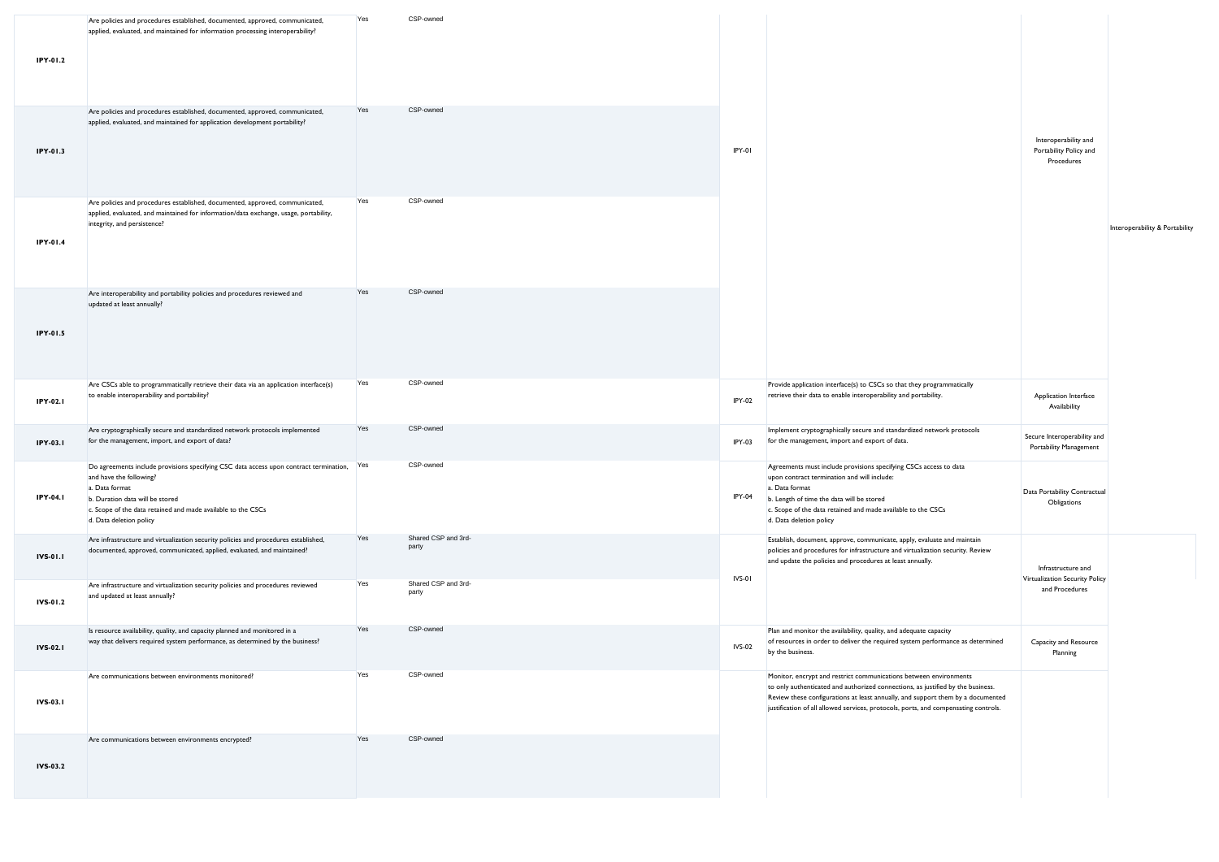| IPY-01.2        | Are policies and procedures established, documented, approved, communicated,<br>applied, evaluated, and maintained for information processing interoperability?                                                                                                       | Yes | CSP-owned                    |               |                                                                                                                                                                                                                                                                                                                                |                                                              |                                |
|-----------------|-----------------------------------------------------------------------------------------------------------------------------------------------------------------------------------------------------------------------------------------------------------------------|-----|------------------------------|---------------|--------------------------------------------------------------------------------------------------------------------------------------------------------------------------------------------------------------------------------------------------------------------------------------------------------------------------------|--------------------------------------------------------------|--------------------------------|
| IPY-01.3        | Are policies and procedures established, documented, approved, communicated,<br>applied, evaluated, and maintained for application development portability?                                                                                                           | Yes | CSP-owned                    | IPY-01        |                                                                                                                                                                                                                                                                                                                                | Interoperability and<br>Portability Policy and<br>Procedures |                                |
| IPY-01.4        | Are policies and procedures established, documented, approved, communicated,<br>applied, evaluated, and maintained for information/data exchange, usage, portability,<br>integrity, and persistence?                                                                  | Yes | CSP-owned                    |               |                                                                                                                                                                                                                                                                                                                                |                                                              | Interoperability & Portability |
| IPY-01.5        | Are interoperability and portability policies and procedures reviewed and<br>updated at least annually?                                                                                                                                                               | Yes | CSP-owned                    |               |                                                                                                                                                                                                                                                                                                                                |                                                              |                                |
| <b>IPY-02.1</b> | Are CSCs able to programmatically retrieve their data via an application interface(s)<br>to enable interoperability and portability?                                                                                                                                  | Yes | CSP-owned                    | IPY-02        | Provide application interface(s) to CSCs so that they programmatically<br>retrieve their data to enable interoperability and portability.                                                                                                                                                                                      | Application Interface<br>Availability                        |                                |
| <b>IPY-03.1</b> | Are cryptographically secure and standardized network protocols implemented<br>for the management, import, and export of data?                                                                                                                                        | Yes | CSP-owned                    | IPY-03        | Implement cryptographically secure and standardized network protocols<br>for the management, import and export of data.                                                                                                                                                                                                        | Secure Interoperability and<br>Portability Management        |                                |
| <b>IPY-04.1</b> | Do agreements include provisions specifying CSC data access upon contract termination, Yes<br>and have the following?<br>a. Data format<br>b. Duration data will be stored<br>c. Scope of the data retained and made available to the CSCs<br>d. Data deletion policy |     | CSP-owned                    | IPY-04        | Agreements must include provisions specifying CSCs access to data<br>upon contract termination and will include:<br>a. Data format<br>b. Length of time the data will be stored<br>c. Scope of the data retained and made available to the CSCs<br>d. Data deletion policy                                                     | Data Portability Contractual<br>Obligations                  |                                |
| <b>IVS-01.1</b> | Are infrastructure and virtualization security policies and procedures established,<br>documented, approved, communicated, applied, evaluated, and maintained?                                                                                                        | Yes | Shared CSP and 3rd-<br>party |               | Establish, document, approve, communicate, apply, evaluate and maintain<br>policies and procedures for infrastructure and virtualization security. Review<br>and update the policies and procedures at least annually.                                                                                                         | Infrastructure and                                           |                                |
| IVS-01.2        | Are infrastructure and virtualization security policies and procedures reviewed<br>and updated at least annually?                                                                                                                                                     | Yes | Shared CSP and 3rd-<br>party | IVS-01        |                                                                                                                                                                                                                                                                                                                                | Virtualization Security Policy<br>and Procedures             |                                |
| <b>IVS-02.1</b> | Is resource availability, quality, and capacity planned and monitored in a<br>way that delivers required system performance, as determined by the business?                                                                                                           | Yes | CSP-owned                    | <b>IVS-02</b> | Plan and monitor the availability, quality, and adequate capacity<br>of resources in order to deliver the required system performance as determined<br>by the business.                                                                                                                                                        | Capacity and Resource<br>Planning                            |                                |
| <b>IVS-03.1</b> | Are communications between environments monitored?                                                                                                                                                                                                                    | Yes | CSP-owned                    |               | Monitor, encrypt and restrict communications between environments<br>to only authenticated and authorized connections, as justified by the business.<br>Review these configurations at least annually, and support them by a documented<br>justification of all allowed services, protocols, ports, and compensating controls. |                                                              |                                |
| <b>IVS-03.2</b> | Are communications between environments encrypted?                                                                                                                                                                                                                    | Yes | CSP-owned                    |               |                                                                                                                                                                                                                                                                                                                                |                                                              |                                |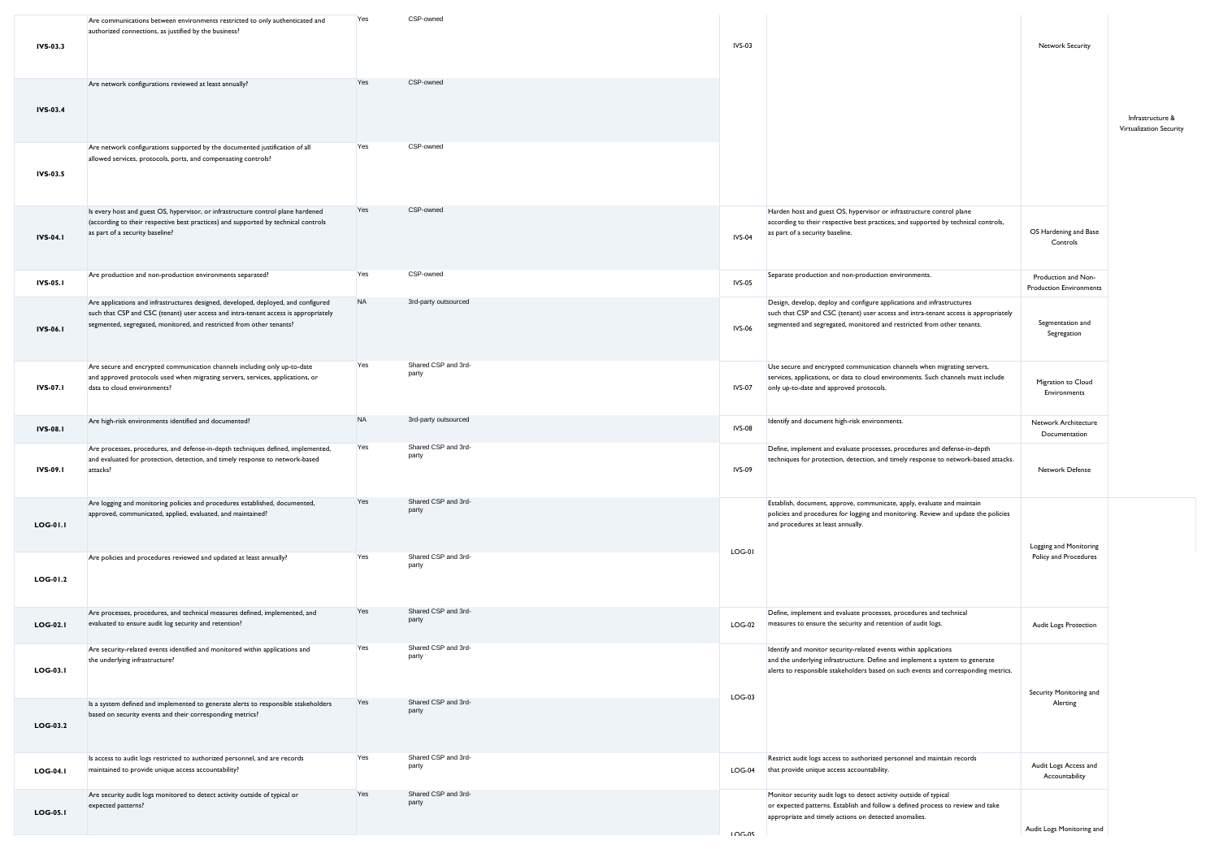| IVS-03.3        | Are communications between environments restricted to only authenticated and<br>authorized connections, as justified by the business?                                                                                                             | Υes       | CSP-owned                    | <b>IVS-03</b>   |                                                                                                                                                                                                                                         | Network Security                                      |                                             |
|-----------------|---------------------------------------------------------------------------------------------------------------------------------------------------------------------------------------------------------------------------------------------------|-----------|------------------------------|-----------------|-----------------------------------------------------------------------------------------------------------------------------------------------------------------------------------------------------------------------------------------|-------------------------------------------------------|---------------------------------------------|
| <b>IVS-03.4</b> | Are network configurations reviewed at least annually?                                                                                                                                                                                            | Yes       | CSP-owned                    |                 |                                                                                                                                                                                                                                         |                                                       | Infrastructure &<br>Virtualization Security |
| IVS-03.5        | Are network configurations supported by the documented justification of all<br>allowed services, protocols, ports, and compensating controls?                                                                                                     | Yes       | CSP-owned                    |                 |                                                                                                                                                                                                                                         |                                                       |                                             |
| <b>IVS-04.1</b> | Is every host and guest OS, hypervisor, or infrastructure control plane hardened<br>(according to their respective best practices) and supported by technical controls<br>as part of a security baseline?                                         | Yes       | CSP-owned                    | <b>IVS-04</b>   | Harden host and guest OS, hypervisor or infrastructure control plane<br>according to their respective best practices, and supported by technical controls,<br>as part of a security baseline.                                           | OS Hardening and Base<br>Controls                     |                                             |
| <b>IVS-05.1</b> | Are production and non-production environments separated?                                                                                                                                                                                         | Yes       | CSP-owned                    | <b>IVS-05</b>   | Separate production and non-production environments.                                                                                                                                                                                    | Production and Non-<br><b>Production Environments</b> |                                             |
| <b>IVS-06.1</b> | Are applications and infrastructures designed, developed, deployed, and configured<br>such that CSP and CSC (tenant) user access and intra-tenant access is appropriately<br>segmented, segregated, monitored, and restricted from other tenants? | <b>NA</b> | 3rd-party outsourced         | <b>IVS-06</b>   | Design, develop, deploy and configure applications and infrastructures<br>such that CSP and CSC (tenant) user access and intra-tenant access is appropriately<br>segmented and segregated, monitored and restricted from other tenants. | Segmentation and<br>Segregation                       |                                             |
| IVS-07.1        | Are secure and encrypted communication channels including only up-to-date<br>and approved protocols used when migrating servers, services, applications, or<br>data to cloud environments?                                                        | Yes       | Shared CSP and 3rd-<br>party | <b>IVS-07</b>   | Use secure and encrypted communication channels when migrating servers,<br>services, applications, or data to cloud environments. Such channels must include<br>only up-to-date and approved protocols.                                 | Migration to Cloud<br>Environments                    |                                             |
| <b>IVS-08.1</b> | Are high-risk environments identified and documented?                                                                                                                                                                                             | <b>NA</b> | 3rd-party outsourced         | <b>IVS-08</b>   | Identify and document high-risk environments.                                                                                                                                                                                           | Network Architecture<br>Documentation                 |                                             |
| IVS-09.1        | Are processes, procedures, and defense-in-depth techniques defined, implemented,<br>and evaluated for protection, detection, and timely response to network-based<br>attacks?                                                                     | Yes       | Shared CSP and 3rd-<br>party | <b>IVS-09</b>   | Define, implement and evaluate processes, procedures and defense-in-depth<br>techniques for protection, detection, and timely response to network-based attacks.                                                                        | Network Defense                                       |                                             |
| <b>LOG-01.1</b> | Are logging and monitoring policies and procedures established, documented,<br>approved, communicated, applied, evaluated, and maintained?                                                                                                        | Yes       | Shared CSP and 3rd-<br>party |                 | Establish, document, approve, communicate, apply, evaluate and maintain<br>policies and procedures for logging and monitoring. Review and update the policies<br>and procedures at least annually.                                      | Logging and Monitoring                                |                                             |
| LOG-01.2        | Are policies and procedures reviewed and updated at least annually?                                                                                                                                                                               | Yes       | Shared CSP and 3rd-<br>party | $LOG-01$        |                                                                                                                                                                                                                                         | Policy and Procedures                                 |                                             |
| <b>LOG-02.1</b> | Are processes, procedures, and technical measures defined, implemented, and<br>evaluated to ensure audit log security and retention?                                                                                                              | Yes       | Shared CSP and 3rd-<br>party | $LOG-02$        | Define, implement and evaluate processes, procedures and technical<br>measures to ensure the security and retention of audit logs.                                                                                                      | Audit Logs Protection                                 |                                             |
| <b>LOG-03.1</b> | Are security-related events identified and monitored within applications and<br>the underlying infrastructure?                                                                                                                                    | Yes       | Shared CSP and 3rd-<br>party |                 | Identify and monitor security-related events within applications<br>and the underlying infrastructure. Define and implement a system to generate<br>alerts to responsible stakeholders based on such events and corresponding metrics.  | Security Monitoring and                               |                                             |
| $LOG-03.2$      | Is a system defined and implemented to generate alerts to responsible stakeholders<br>based on security events and their corresponding metrics?                                                                                                   | Yes       | Shared CSP and 3rd-<br>party | $LOG-03$        |                                                                                                                                                                                                                                         | Alerting                                              |                                             |
| $LOG-04.1$      | Is access to audit logs restricted to authorized personnel, and are records<br>maintained to provide unique access accountability?                                                                                                                | Yes       | Shared CSP and 3rd-<br>party | $LOG-04$        | Restrict audit logs access to authorized personnel and maintain records<br>that provide unique access accountability.                                                                                                                   | Audit Logs Access and<br>Accountability               |                                             |
| <b>LOG-05.1</b> | Are security audit logs monitored to detect activity outside of typical or<br>expected patterns?                                                                                                                                                  | Yes       | Shared CSP and 3rd-<br>party | 10 <sub>0</sub> | Monitor security audit logs to detect activity outside of typical<br>or expected patterns. Establish and follow a defined process to review and take<br>appropriate and timely actions on detected anomalies.                           | Audit Logs Monitoring and                             |                                             |
|                 |                                                                                                                                                                                                                                                   |           |                              |                 |                                                                                                                                                                                                                                         |                                                       |                                             |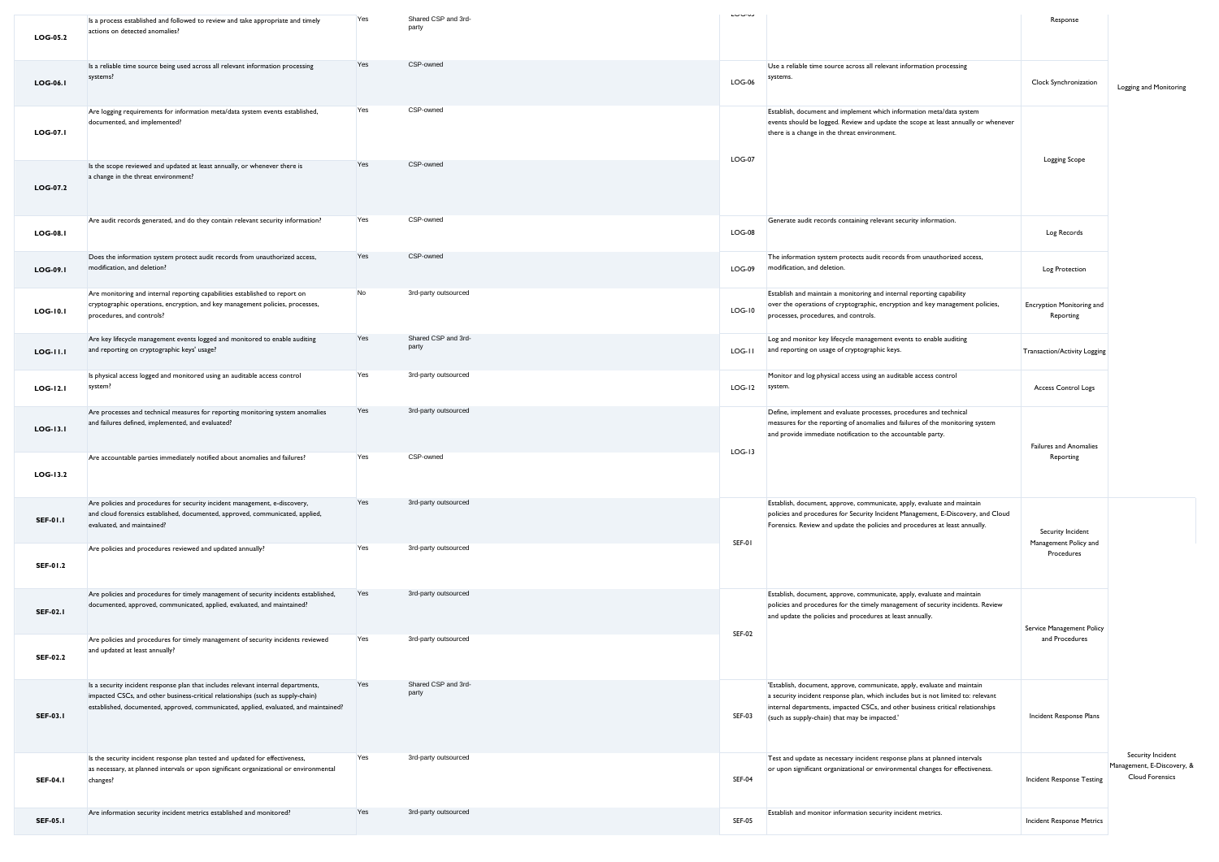| <b>LOG-05.2</b> | Is a process established and followed to review and take appropriate and timely<br>actions on detected anomalies?                                                                                                                                            | Yes | Shared CSP and 3rd-<br>party | LUU-UJ        |                                                                                                                                                                                                                                                                                                  | Response                                   |                                                                           |
|-----------------|--------------------------------------------------------------------------------------------------------------------------------------------------------------------------------------------------------------------------------------------------------------|-----|------------------------------|---------------|--------------------------------------------------------------------------------------------------------------------------------------------------------------------------------------------------------------------------------------------------------------------------------------------------|--------------------------------------------|---------------------------------------------------------------------------|
|                 | Is a reliable time source being used across all relevant information processing                                                                                                                                                                              | Yes | CSP-owned                    |               | Use a reliable time source across all relevant information processing                                                                                                                                                                                                                            |                                            |                                                                           |
| <b>LOG-06.1</b> | systems?                                                                                                                                                                                                                                                     |     |                              | $LOG-06$      | systems.                                                                                                                                                                                                                                                                                         | Clock Synchronization                      | Logging and Monitoring                                                    |
| <b>LOG-07.1</b> | Are logging requirements for information meta/data system events established,<br>documented, and implemented?                                                                                                                                                | Yes | CSP-owned                    | <b>LOG-07</b> | Establish, document and implement which information meta/data system<br>events should be logged. Review and update the scope at least annually or whenever<br>there is a change in the threat environment.                                                                                       |                                            |                                                                           |
| LOG-07.2        | Is the scope reviewed and updated at least annually, or whenever there is<br>a change in the threat environment?                                                                                                                                             | Yes | CSP-owned                    |               |                                                                                                                                                                                                                                                                                                  | <b>Logging Scope</b>                       |                                                                           |
| <b>LOG-08.1</b> | Are audit records generated, and do they contain relevant security information?                                                                                                                                                                              | Yes | CSP-owned                    | $LOG-08$      | Generate audit records containing relevant security information.                                                                                                                                                                                                                                 | Log Records                                |                                                                           |
| <b>LOG-09.1</b> | Does the information system protect audit records from unauthorized access,<br>modification, and deletion?                                                                                                                                                   | Yes | CSP-owned                    | $LOG-09$      | The information system protects audit records from unauthorized access,<br>modification, and deletion.                                                                                                                                                                                           | Log Protection                             |                                                                           |
| <b>LOG-10.1</b> | Are monitoring and internal reporting capabilities established to report on<br>cryptographic operations, encryption, and key management policies, processes,<br>procedures, and controls?                                                                    | No  | 3rd-party outsourced         | $LOG-10$      | Establish and maintain a monitoring and internal reporting capability<br>over the operations of cryptographic, encryption and key management policies,<br>processes, procedures, and controls.                                                                                                   | Encryption Monitoring and<br>Reporting     |                                                                           |
| <b>LOG-11.1</b> | Are key lifecycle management events logged and monitored to enable auditing<br>and reporting on cryptographic keys' usage?                                                                                                                                   | Yes | Shared CSP and 3rd-<br>party | LOG-II        | Log and monitor key lifecycle management events to enable auditing<br>and reporting on usage of cryptographic keys.                                                                                                                                                                              | <b>Transaction/Activity Logging</b>        |                                                                           |
| <b>LOG-12.1</b> | Is physical access logged and monitored using an auditable access control<br>system?                                                                                                                                                                         | Yes | 3rd-party outsourced         | $LOG-I2$      | Monitor and log physical access using an auditable access control<br>system.                                                                                                                                                                                                                     | Access Control Logs                        |                                                                           |
| LOG-13.1        | Are processes and technical measures for reporting monitoring system anomalies<br>and failures defined, implemented, and evaluated?                                                                                                                          | Yes | 3rd-party outsourced         | $LOG-13$      | Define, implement and evaluate processes, procedures and technical<br>measures for the reporting of anomalies and failures of the monitoring system<br>and provide immediate notification to the accountable party.                                                                              | <b>Failures and Anomalies</b>              |                                                                           |
| LOG-13.2        | Are accountable parties immediately notified about anomalies and failures?                                                                                                                                                                                   | Yes | CSP-owned                    |               |                                                                                                                                                                                                                                                                                                  | Reporting                                  |                                                                           |
| <b>SEF-01.1</b> | Are policies and procedures for security incident management, e-discovery,<br>and cloud forensics established, documented, approved, communicated, applied,<br>evaluated, and maintained?                                                                    | Yes | 3rd-party outsourced         | SEF-01        | Establish, document, approve, communicate, apply, evaluate and maintain<br>policies and procedures for Security Incident Management, E-Discovery, and Cloud<br>Forensics. Review and update the policies and procedures at least annually.                                                       | Security Incident<br>Management Policy and |                                                                           |
| SEF-01.2        | Are policies and procedures reviewed and updated annually?                                                                                                                                                                                                   | Yes | 3rd-party outsourced         |               |                                                                                                                                                                                                                                                                                                  | Procedures                                 |                                                                           |
| <b>SEF-02.1</b> | Are policies and procedures for timely management of security incidents established,<br>documented, approved, communicated, applied, evaluated, and maintained?                                                                                              | Yes | 3rd-party outsourced         | <b>SEF-02</b> | Establish, document, approve, communicate, apply, evaluate and maintain<br>policies and procedures for the timely management of security incidents. Review<br>and update the policies and procedures at least annually.                                                                          | Service Management Policy                  |                                                                           |
| <b>SEF-02.2</b> | Are policies and procedures for timely management of security incidents reviewed<br>and updated at least annually?                                                                                                                                           | Yes | 3rd-party outsourced         |               |                                                                                                                                                                                                                                                                                                  | and Procedures                             |                                                                           |
| <b>SEF-03.1</b> | Is a security incident response plan that includes relevant internal departments,<br>impacted CSCs, and other business-critical relationships (such as supply-chain)<br>established, documented, approved, communicated, applied, evaluated, and maintained? | Yes | Shared CSP and 3rd-<br>party | <b>SEF-03</b> | 'Establish, document, approve, communicate, apply, evaluate and maintain<br>a security incident response plan, which includes but is not limited to: relevant<br>internal departments, impacted CSCs, and other business critical relationships<br>(such as supply-chain) that may be impacted.' | Incident Response Plans                    |                                                                           |
| <b>SEF-04.1</b> | Is the security incident response plan tested and updated for effectiveness,<br>as necessary, at planned intervals or upon significant organizational or environmental<br>changes?                                                                           | Yes | 3rd-party outsourced         | <b>SEF-04</b> | Test and update as necessary incident response plans at planned intervals<br>or upon significant organizational or environmental changes for effectiveness.                                                                                                                                      | Incident Response Testing                  | Security Incident<br>Management, E-Discovery, &<br><b>Cloud Forensics</b> |
| <b>SEF-05.1</b> | Are information security incident metrics established and monitored?                                                                                                                                                                                         | Yes | 3rd-party outsourced         | <b>SEF-05</b> | Establish and monitor information security incident metrics.                                                                                                                                                                                                                                     | Incident Response Metrics                  |                                                                           |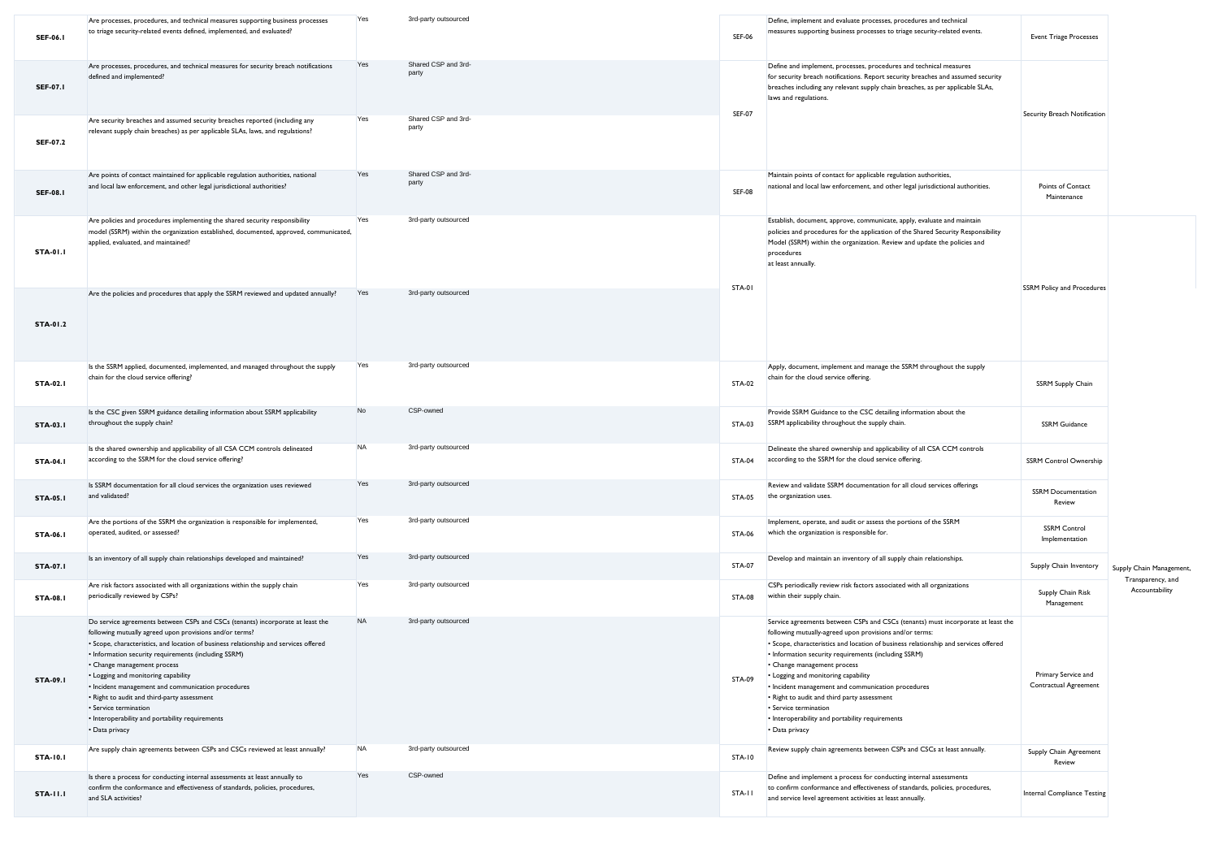| <b>SEF-06.1</b> | Are processes, procedures, and technical measures supporting business processes<br>to triage security-related events defined, implemented, and evaluated?                                                                                                                                                                                                                                                                                                                                                                                                          | Yes       | 3rd-party outsourced         | <b>SEF-06</b> | Define, implement and evaluate processes, procedures and technical<br>measures supporting business processes to triage security-related events.                                                                                                                                                                                                                                                                                                                                                                                                                     | <b>Event Triage Processes</b>                |                                     |
|-----------------|--------------------------------------------------------------------------------------------------------------------------------------------------------------------------------------------------------------------------------------------------------------------------------------------------------------------------------------------------------------------------------------------------------------------------------------------------------------------------------------------------------------------------------------------------------------------|-----------|------------------------------|---------------|---------------------------------------------------------------------------------------------------------------------------------------------------------------------------------------------------------------------------------------------------------------------------------------------------------------------------------------------------------------------------------------------------------------------------------------------------------------------------------------------------------------------------------------------------------------------|----------------------------------------------|-------------------------------------|
| <b>SEF-07.1</b> | Are processes, procedures, and technical measures for security breach notifications<br>defined and implemented?                                                                                                                                                                                                                                                                                                                                                                                                                                                    | Yes       | Shared CSP and 3rd-<br>part  |               | Define and implement, processes, procedures and technical measures<br>for security breach notifications. Report security breaches and assumed security<br>breaches including any relevant supply chain breaches, as per applicable SLAs,<br>laws and regulations.                                                                                                                                                                                                                                                                                                   |                                              |                                     |
| SEF-07.2        | Are security breaches and assumed security breaches reported (including any<br>relevant supply chain breaches) as per applicable SLAs, laws, and regulations?                                                                                                                                                                                                                                                                                                                                                                                                      | Yes       | Shared CSP and 3rd-<br>party | <b>SEF-07</b> |                                                                                                                                                                                                                                                                                                                                                                                                                                                                                                                                                                     | Security Breach Notification                 |                                     |
| <b>SEF-08.1</b> | Are points of contact maintained for applicable regulation authorities, national<br>and local law enforcement, and other legal jurisdictional authorities?                                                                                                                                                                                                                                                                                                                                                                                                         | Yes       | Shared CSP and 3rd-<br>party | <b>SEF-08</b> | Maintain points of contact for applicable regulation authorities,<br>national and local law enforcement, and other legal jurisdictional authorities.                                                                                                                                                                                                                                                                                                                                                                                                                | Points of Contact<br>Maintenance             |                                     |
| <b>STA-01.1</b> | Are policies and procedures implementing the shared security responsibility<br>model (SSRM) within the organization established, documented, approved, communicated,<br>applied, evaluated, and maintained?                                                                                                                                                                                                                                                                                                                                                        | Yes       | 3rd-party outsourced         |               | Establish, document, approve, communicate, apply, evaluate and maintain<br>policies and procedures for the application of the Shared Security Responsibility<br>Model (SSRM) within the organization. Review and update the policies and<br>procedures<br>at least annually.                                                                                                                                                                                                                                                                                        |                                              |                                     |
| STA-01.2        | Are the policies and procedures that apply the SSRM reviewed and updated annually?                                                                                                                                                                                                                                                                                                                                                                                                                                                                                 | Yes       | 3rd-party outsourced         | STA-01        |                                                                                                                                                                                                                                                                                                                                                                                                                                                                                                                                                                     | <b>SSRM Policy and Procedures</b>            |                                     |
| <b>STA-02.1</b> | Is the SSRM applied, documented, implemented, and managed throughout the supply<br>chain for the cloud service offering?                                                                                                                                                                                                                                                                                                                                                                                                                                           | Yes       | 3rd-party outsourced         | STA-02        | Apply, document, implement and manage the SSRM throughout the supply<br>chain for the cloud service offering.                                                                                                                                                                                                                                                                                                                                                                                                                                                       | <b>SSRM Supply Chain</b>                     |                                     |
| <b>STA-03.1</b> | Is the CSC given SSRM guidance detailing information about SSRM applicability<br>throughout the supply chain?                                                                                                                                                                                                                                                                                                                                                                                                                                                      | No        | CSP-owned                    | STA-03        | Provide SSRM Guidance to the CSC detailing information about the<br>SSRM applicability throughout the supply chain.                                                                                                                                                                                                                                                                                                                                                                                                                                                 | <b>SSRM Guidance</b>                         |                                     |
| <b>STA-04.1</b> | Is the shared ownership and applicability of all CSA CCM controls delineated<br>according to the SSRM for the cloud service offering?                                                                                                                                                                                                                                                                                                                                                                                                                              | <b>NA</b> | 3rd-party outsourced         | STA-04        | Delineate the shared ownership and applicability of all CSA CCM controls<br>according to the SSRM for the cloud service offering.                                                                                                                                                                                                                                                                                                                                                                                                                                   | <b>SSRM Control Ownership</b>                |                                     |
| <b>STA-05.1</b> | Is SSRM documentation for all cloud services the organization uses reviewed<br>and validated?                                                                                                                                                                                                                                                                                                                                                                                                                                                                      | Yes       | 3rd-party outsourced         | STA-05        | Review and validate SSRM documentation for all cloud services offerings<br>the organization uses.                                                                                                                                                                                                                                                                                                                                                                                                                                                                   | <b>SSRM Documentation</b><br>Review          |                                     |
| STA-06.1        | Are the portions of the SSRM the organization is responsible for implemented,<br>operated, audited, or assessed?                                                                                                                                                                                                                                                                                                                                                                                                                                                   | Yes       | 3rd-party outsourced         | STA-06        | Implement, operate, and audit or assess the portions of the SSRM<br>which the organization is responsible for.                                                                                                                                                                                                                                                                                                                                                                                                                                                      | <b>SSRM Control</b><br>Implementation        |                                     |
| <b>STA-07.1</b> | Is an inventory of all supply chain relationships developed and maintained?                                                                                                                                                                                                                                                                                                                                                                                                                                                                                        | Yes       | 3rd-party outsourced         | <b>STA-07</b> | Develop and maintain an inventory of all supply chain relationships.                                                                                                                                                                                                                                                                                                                                                                                                                                                                                                | Supply Chain Inventory                       | Supply Chain Management             |
| <b>STA-08.1</b> | Are risk factors associated with all organizations within the supply chain<br>periodically reviewed by CSPs?                                                                                                                                                                                                                                                                                                                                                                                                                                                       | Yes       | 3rd-party outsourced         | <b>STA-08</b> | CSPs periodically review risk factors associated with all organizations<br>within their supply chain.                                                                                                                                                                                                                                                                                                                                                                                                                                                               | Supply Chain Risk<br>Management              | Transparency, and<br>Accountability |
| STA-09.1        | Do service agreements between CSPs and CSCs (tenants) incorporate at least the<br>following mutually agreed upon provisions and/or terms?<br>• Scope, characteristics, and location of business relationship and services offered<br>• Information security requirements (including SSRM)<br>• Change management process<br>• Logging and monitoring capability<br>• Incident management and communication procedures<br>• Right to audit and third-party assessment<br>• Service termination<br>• Interoperability and portability requirements<br>• Data privacy | <b>NA</b> | 3rd-party outsourced         | <b>STA-09</b> | Service agreements between CSPs and CSCs (tenants) must incorporate at least the<br>following mutually-agreed upon provisions and/or terms:<br>• Scope, characteristics and location of business relationship and services offered<br>• Information security requirements (including SSRM)<br>• Change management process<br>• Logging and monitoring capability<br>• Incident management and communication procedures<br>• Right to audit and third party assessment<br>· Service termination<br>• Interoperability and portability requirements<br>• Data privacy | Primary Service and<br>Contractual Agreement |                                     |
| <b>STA-10.1</b> | Are supply chain agreements between CSPs and CSCs reviewed at least annually?                                                                                                                                                                                                                                                                                                                                                                                                                                                                                      | <b>NA</b> | 3rd-party outsourced         | <b>STA-10</b> | Review supply chain agreements between CSPs and CSCs at least annually.                                                                                                                                                                                                                                                                                                                                                                                                                                                                                             | Supply Chain Agreement<br>Review             |                                     |
| <b>STA-11.1</b> | Is there a process for conducting internal assessments at least annually to<br>confirm the conformance and effectiveness of standards, policies, procedures,<br>and SLA activities?                                                                                                                                                                                                                                                                                                                                                                                | Yes       | CSP-owned                    | STA-11        | Define and implement a process for conducting internal assessments<br>to confirm conformance and effectiveness of standards, policies, procedures,<br>and service level agreement activities at least annually.                                                                                                                                                                                                                                                                                                                                                     | Internal Compliance Testing                  |                                     |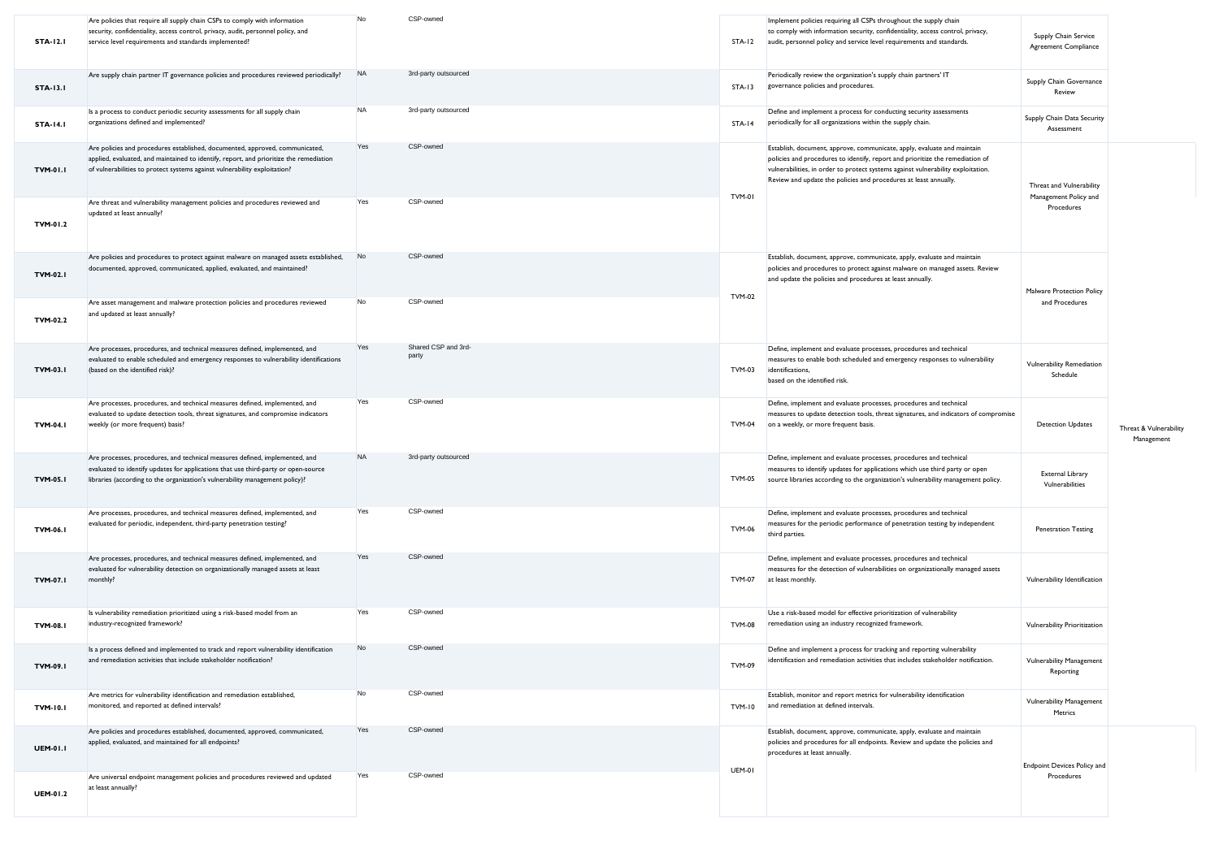| <b>STA-12.1</b> | Are policies that require all supply chain CSPs to comply with information<br>security, confidentiality, access control, privacy, audit, personnel policy, and<br>service level requirements and standards implemented?                             | No        | CSP-owned                    | <b>STA-12</b> | Implement policies requiring all CSPs throughout the supply chain<br>to comply with information security, confidentiality, access control, privacy,<br>audit, personnel policy and service level requirements and standards.                                                                                     | Supply Chain Service<br>Agreement Compliance                    |                                      |
|-----------------|-----------------------------------------------------------------------------------------------------------------------------------------------------------------------------------------------------------------------------------------------------|-----------|------------------------------|---------------|------------------------------------------------------------------------------------------------------------------------------------------------------------------------------------------------------------------------------------------------------------------------------------------------------------------|-----------------------------------------------------------------|--------------------------------------|
| <b>STA-13.1</b> | Are supply chain partner IT governance policies and procedures reviewed periodically?                                                                                                                                                               | <b>NA</b> | 3rd-party outsourced         | $STA-13$      | Periodically review the organization's supply chain partners' IT<br>governance policies and procedures.                                                                                                                                                                                                          | Supply Chain Governance<br>Review                               |                                      |
| <b>STA-14.1</b> | Is a process to conduct periodic security assessments for all supply chain<br>organizations defined and implemented?                                                                                                                                | <b>NA</b> | 3rd-party outsourced         | $STA-14$      | Define and implement a process for conducting security assessments<br>periodically for all organizations within the supply chain.                                                                                                                                                                                | Supply Chain Data Security<br>Assessment                        |                                      |
| <b>TVM-01.1</b> | Are policies and procedures established, documented, approved, communicated,<br>applied, evaluated, and maintained to identify, report, and prioritize the remediation<br>of vulnerabilities to protect systems against vulnerability exploitation? | Yes       | CSP-owned                    | TVM-01        | Establish, document, approve, communicate, apply, evaluate and maintain<br>policies and procedures to identify, report and prioritize the remediation of<br>vulnerabilities, in order to protect systems against vulnerability exploitation.<br>Review and update the policies and procedures at least annually. | Threat and Vulnerability<br>Management Policy and<br>Procedures |                                      |
| TVM-01.2        | Are threat and vulnerability management policies and procedures reviewed and<br>updated at least annually?                                                                                                                                          | Yes       | CSP-owned                    |               |                                                                                                                                                                                                                                                                                                                  |                                                                 |                                      |
| <b>TVM-02.1</b> | Are policies and procedures to protect against malware on managed assets established,<br>documented, approved, communicated, applied, evaluated, and maintained?                                                                                    | No        | CSP-owned                    | <b>TVM-02</b> | Establish, document, approve, communicate, apply, evaluate and maintain<br>policies and procedures to protect against malware on managed assets. Review<br>and update the policies and procedures at least annually                                                                                              | Malware Protection Policy                                       |                                      |
| TVM-02.2        | Are asset management and malware protection policies and procedures reviewed<br>and updated at least annually?                                                                                                                                      | No        | CSP-owned                    |               |                                                                                                                                                                                                                                                                                                                  | and Procedures                                                  |                                      |
| <b>TVM-03.1</b> | Are processes, procedures, and technical measures defined, implemented, and<br>evaluated to enable scheduled and emergency responses to vulnerability identifications<br>(based on the identified risk)?                                            | Yes       | Shared CSP and 3rd-<br>party | <b>TVM-03</b> | Define, implement and evaluate processes, procedures and technical<br>measures to enable both scheduled and emergency responses to vulnerability<br>identifications,<br>based on the identified risk.                                                                                                            | Vulnerability Remediation<br>Schedule                           |                                      |
| <b>TVM-04.1</b> | Are processes, procedures, and technical measures defined, implemented, and<br>evaluated to update detection tools, threat signatures, and compromise indicators<br>weekly (or more frequent) basis?                                                | Yes       | CSP-owned                    | <b>TVM-04</b> | Define, implement and evaluate processes, procedures and technical<br>measures to update detection tools, threat signatures, and indicators of compromise<br>on a weekly, or more frequent basis.                                                                                                                | <b>Detection Updates</b>                                        | Threat & Vulnerability<br>Management |
| <b>TVM-05.1</b> | Are processes, procedures, and technical measures defined, implemented, and<br>evaluated to identify updates for applications that use third-party or open-source<br>libraries (according to the organization's vulnerability management policy)?   | <b>NA</b> | 3rd-party outsourced         | <b>TVM-05</b> | Define, implement and evaluate processes, procedures and technical<br>measures to identify updates for applications which use third party or open<br>source libraries according to the organization's vulnerability management policy.                                                                           | External Library<br>Vulnerabilities                             |                                      |
| TVM-06.1        | Are processes, procedures, and technical measures defined, implemented, and<br>evaluated for periodic, independent, third-party penetration testing?                                                                                                | Yes       | CSP-owned                    | <b>TVM-06</b> | Define, implement and evaluate processes, procedures and technical<br>measures for the periodic performance of penetration testing by independent<br>third parties.                                                                                                                                              | <b>Penetration Testing</b>                                      |                                      |
| <b>TVM-07.1</b> | Are processes, procedures, and technical measures defined, implemented, and<br>evaluated for vulnerability detection on organizationally managed assets at least<br>monthly?                                                                        | Yes       | CSP-owned                    | <b>TVM-07</b> | Define, implement and evaluate processes, procedures and technical<br>measures for the detection of vulnerabilities on organizationally managed assets<br>at least monthly.                                                                                                                                      | Vulnerability Identification                                    |                                      |
| <b>TVM-08.1</b> | Is vulnerability remediation prioritized using a risk-based model from an<br>industry-recognized framework?                                                                                                                                         | Yes       | CSP-owned                    | <b>TVM-08</b> | Use a risk-based model for effective prioritization of vulnerability<br>remediation using an industry recognized framework.                                                                                                                                                                                      | Vulnerability Prioritization                                    |                                      |
| TVM-09.1        | Is a process defined and implemented to track and report vulnerability identification<br>and remediation activities that include stakeholder notification?                                                                                          | No        | CSP-owned                    | TVM-09        | Define and implement a process for tracking and reporting vulnerability<br>identification and remediation activities that includes stakeholder notification.                                                                                                                                                     | Vulnerability Management<br>Reporting                           |                                      |
| <b>TVM-10.1</b> | Are metrics for vulnerability identification and remediation established,<br>monitored, and reported at defined intervals?                                                                                                                          | No        | CSP-owned                    | <b>TVM-10</b> | Establish, monitor and report metrics for vulnerability identification<br>and remediation at defined intervals.                                                                                                                                                                                                  | <b>Vulnerability Management</b><br>Metrics                      |                                      |
| <b>UEM-01.1</b> | Are policies and procedures established, documented, approved, communicated,<br>applied, evaluated, and maintained for all endpoints?                                                                                                               | Yes       | CSP-owned                    | <b>UEM-01</b> | Establish, document, approve, communicate, apply, evaluate and maintain<br>policies and procedures for all endpoints. Review and update the policies and<br>procedures at least annually.                                                                                                                        | <b>Endpoint Devices Policy and</b>                              |                                      |
| <b>UEM-01.2</b> | Are universal endpoint management policies and procedures reviewed and updated<br>at least annually?                                                                                                                                                | Yes       | CSP-owned                    |               |                                                                                                                                                                                                                                                                                                                  | Procedures                                                      |                                      |